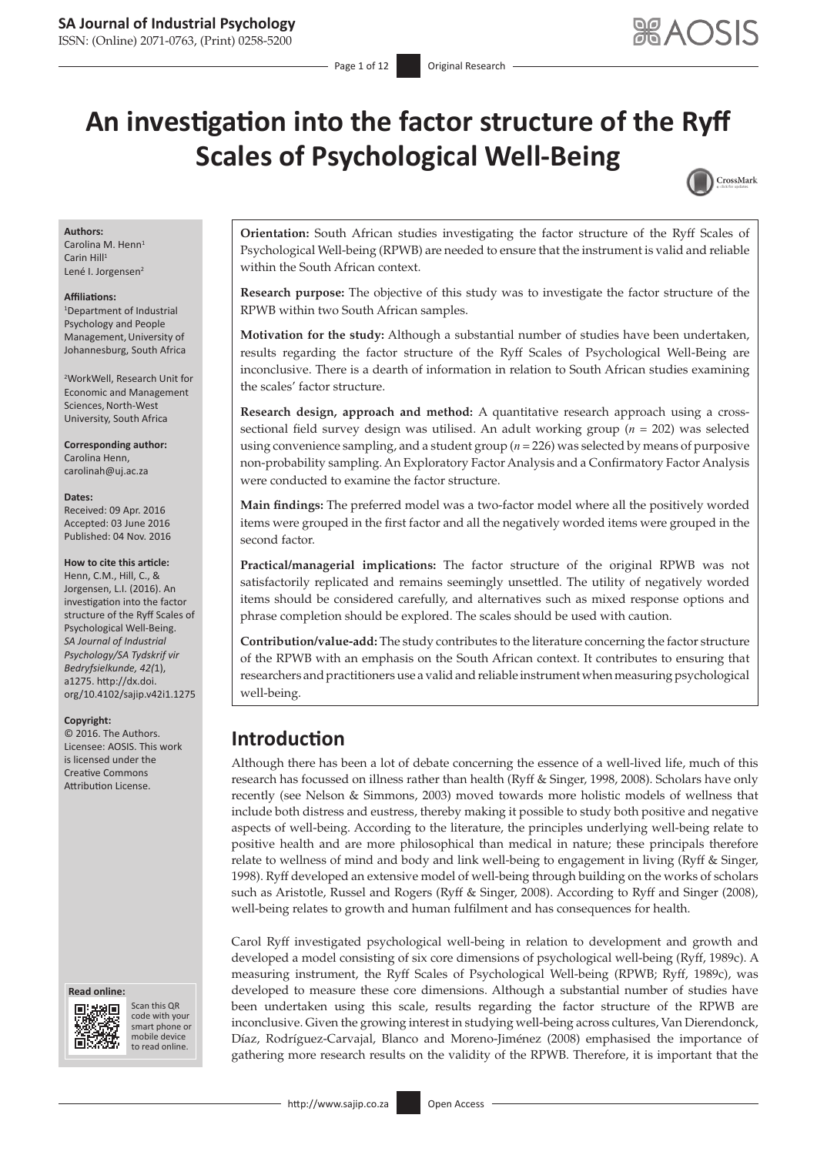ISSN: (Online) 2071-0763, (Print) 0258-5200

# **An investigation into the factor structure of the Ryff Scales of Psychological Well-Being**



### **Authors:**

Carolina M. Henn<sup>1</sup> Carin Hill<sup>1</sup> Lené I. Jorgensen<sup>2</sup>

### **Affiliations:**

1 Department of Industrial Psychology and People Management,University of Johannesburg, South Africa

2 WorkWell, Research Unit for Economic and Management Sciences, North-West University, South Africa

**Corresponding author:** Carolina Henn, [carolinah@uj.ac.za](mailto:carolinah@uj.ac.za)

### **Dates:**

Received: 09 Apr. 2016 Accepted: 03 June 2016 Published: 04 Nov. 2016

### **How to cite this article:**

Henn, C.M., Hill, C., & Jorgensen, L.I. (2016). An investigation into the factor structure of the Ryff Scales of Psychological Well-Being. *SA Journal of Industrial Psychology/SA Tydskrif vir Bedryfsielkunde, 42(*1), a1275. [http://dx.doi.](http://dx.doi.org/10.4102/sajip.v42i1.1275) [org/10.4102/sajip.v42i1.1275](http://dx.doi.org/10.4102/sajip.v42i1.1275)

### **Copyright:**

© 2016. The Authors. Licensee: AOSIS. This work is licensed under the Creative Commons Attribution License.

### **Read online: Read**



Scan this QR code with your Scan this QR<br>code with your<br>smart phone or<br>mobile device mobile device to read online. to read online.

**Orientation:** South African studies investigating the factor structure of the Ryff Scales of Psychological Well-being (RPWB) are needed to ensure that the instrument is valid and reliable within the South African context.

**Research purpose:** The objective of this study was to investigate the factor structure of the RPWB within two South African samples.

**Motivation for the study:** Although a substantial number of studies have been undertaken, results regarding the factor structure of the Ryff Scales of Psychological Well-Being are inconclusive. There is a dearth of information in relation to South African studies examining the scales' factor structure.

**Research design, approach and method:** A quantitative research approach using a crosssectional field survey design was utilised. An adult working group (*n* = 202) was selected using convenience sampling, and a student group (*n* = 226) was selected by means of purposive non-probability sampling. An Exploratory Factor Analysis and a Confirmatory Factor Analysis were conducted to examine the factor structure.

**Main findings:** The preferred model was a two-factor model where all the positively worded items were grouped in the first factor and all the negatively worded items were grouped in the second factor.

**Practical/managerial implications:** The factor structure of the original RPWB was not satisfactorily replicated and remains seemingly unsettled. The utility of negatively worded items should be considered carefully, and alternatives such as mixed response options and phrase completion should be explored. The scales should be used with caution.

**Contribution/value-add:** The study contributes to the literature concerning the factor structure of the RPWB with an emphasis on the South African context. It contributes to ensuring that researchers and practitioners use a valid and reliable instrument when measuring psychological well-being.

## **Introduction**

Although there has been a lot of debate concerning the essence of a well-lived life, much of this research has focussed on illness rather than health (Ryff & Singer, 1998, 2008). Scholars have only recently (see Nelson & Simmons, 2003) moved towards more holistic models of wellness that include both distress and eustress, thereby making it possible to study both positive and negative aspects of well-being. According to the literature, the principles underlying well-being relate to positive health and are more philosophical than medical in nature; these principals therefore relate to wellness of mind and body and link well-being to engagement in living (Ryff & Singer, 1998). Ryff developed an extensive model of well-being through building on the works of scholars such as Aristotle, Russel and Rogers (Ryff & Singer, 2008). According to Ryff and Singer (2008), well-being relates to growth and human fulfilment and has consequences for health.

Carol Ryff investigated psychological well-being in relation to development and growth and developed a model consisting of six core dimensions of psychological well-being (Ryff, 1989c). A measuring instrument, the Ryff Scales of Psychological Well-being (RPWB; Ryff, 1989c), was developed to measure these core dimensions. Although a substantial number of studies have been undertaken using this scale, results regarding the factor structure of the RPWB are inconclusive. Given the growing interest in studying well-being across cultures, Van Dierendonck, Díaz, Rodríguez-Carvajal, Blanco and Moreno-Jiménez (2008) emphasised the importance of gathering more research results on the validity of the RPWB. Therefore, it is important that the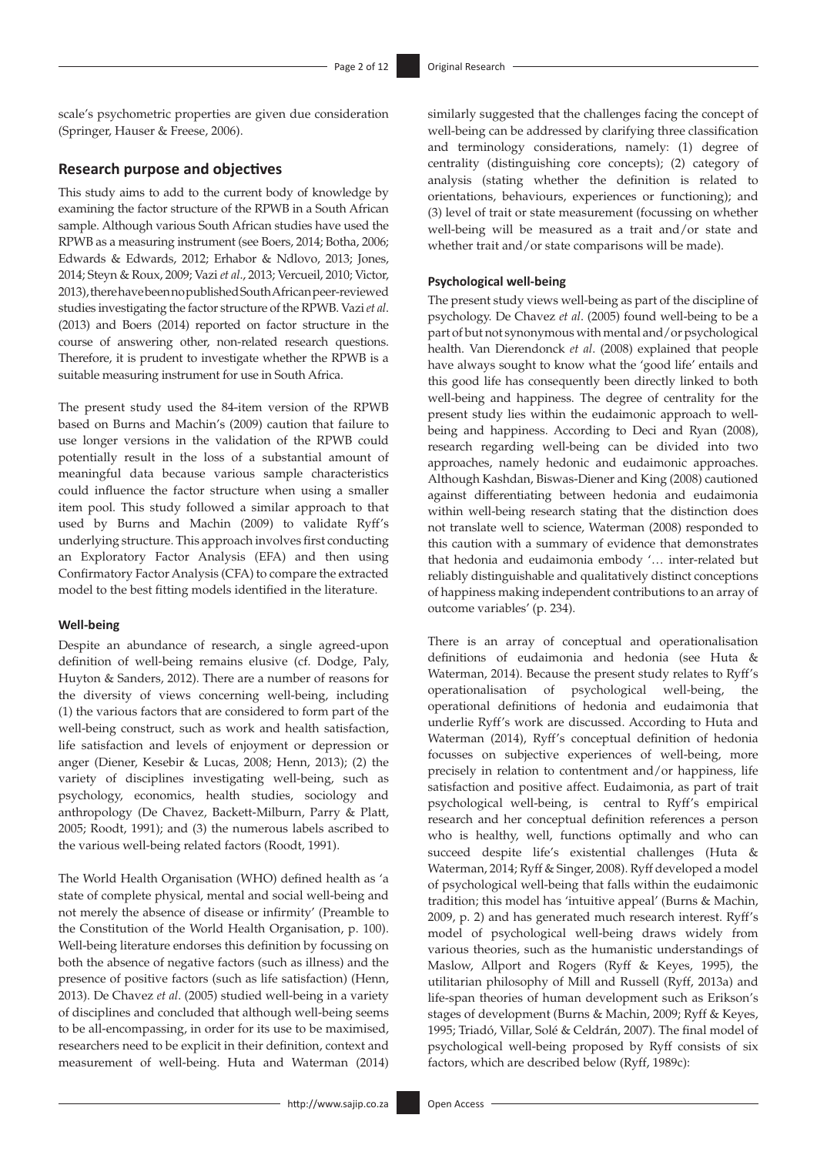scale's psychometric properties are given due consideration (Springer, Hauser & Freese, 2006).

### **Research purpose and objectives**

This study aims to add to the current body of knowledge by examining the factor structure of the RPWB in a South African sample. Although various South African studies have used the RPWB as a measuring instrument (see Boers, 2014; Botha, 2006; Edwards & Edwards, 2012; Erhabor & Ndlovo, 2013; Jones, 2014; Steyn & Roux, 2009; Vazi *et al*., 2013; Vercueil, 2010; Victor, 2013), there have been no published SouthAfrican peer-reviewed studies investigating the factor structure of the RPWB. Vazi *et al*. (2013) and Boers (2014) reported on factor structure in the course of answering other, non-related research questions. Therefore, it is prudent to investigate whether the RPWB is a suitable measuring instrument for use in South Africa.

The present study used the 84-item version of the RPWB based on Burns and Machin's (2009) caution that failure to use longer versions in the validation of the RPWB could potentially result in the loss of a substantial amount of meaningful data because various sample characteristics could influence the factor structure when using a smaller item pool. This study followed a similar approach to that used by Burns and Machin (2009) to validate Ryff's underlying structure. This approach involves first conducting an Exploratory Factor Analysis (EFA) and then using Confirmatory Factor Analysis (CFA) to compare the extracted model to the best fitting models identified in the literature.

### **Well-being**

Despite an abundance of research, a single agreed-upon definition of well-being remains elusive (cf. Dodge, Paly, Huyton & Sanders, 2012). There are a number of reasons for the diversity of views concerning well-being, including (1) the various factors that are considered to form part of the well-being construct, such as work and health satisfaction, life satisfaction and levels of enjoyment or depression or anger (Diener, Kesebir & Lucas, 2008; Henn, 2013); (2) the variety of disciplines investigating well-being, such as psychology, economics, health studies, sociology and anthropology (De Chavez, Backett-Milburn, Parry & Platt, 2005; Roodt, 1991); and (3) the numerous labels ascribed to the various well-being related factors (Roodt, 1991).

The World Health Organisation (WHO) defined health as 'a state of complete physical, mental and social well-being and not merely the absence of disease or infirmity' (Preamble to the Constitution of the World Health Organisation, p. 100). Well-being literature endorses this definition by focussing on both the absence of negative factors (such as illness) and the presence of positive factors (such as life satisfaction) (Henn, 2013). De Chavez *et al*. (2005) studied well-being in a variety of disciplines and concluded that although well-being seems to be all-encompassing, in order for its use to be maximised, researchers need to be explicit in their definition, context and measurement of well-being. Huta and Waterman (2014)

similarly suggested that the challenges facing the concept of well-being can be addressed by clarifying three classification and terminology considerations, namely: (1) degree of centrality (distinguishing core concepts); (2) category of analysis (stating whether the definition is related to orientations, behaviours, experiences or functioning); and (3) level of trait or state measurement (focussing on whether well-being will be measured as a trait and/or state and whether trait and/or state comparisons will be made).

### **Psychological well-being**

The present study views well-being as part of the discipline of psychology. De Chavez *et al*. (2005) found well-being to be a part of but not synonymous with mental and/or psychological health. Van Dierendonck *et al*. (2008) explained that people have always sought to know what the 'good life' entails and this good life has consequently been directly linked to both well-being and happiness. The degree of centrality for the present study lies within the eudaimonic approach to wellbeing and happiness. According to Deci and Ryan (2008), research regarding well-being can be divided into two approaches, namely hedonic and eudaimonic approaches. Although Kashdan, Biswas-Diener and King (2008) cautioned against differentiating between hedonia and eudaimonia within well-being research stating that the distinction does not translate well to science, Waterman (2008) responded to this caution with a summary of evidence that demonstrates that hedonia and eudaimonia embody '… inter-related but reliably distinguishable and qualitatively distinct conceptions of happiness making independent contributions to an array of outcome variables' (p. 234).

There is an array of conceptual and operationalisation definitions of eudaimonia and hedonia (see Huta & Waterman, 2014). Because the present study relates to Ryff's operationalisation of psychological well-being, the operational definitions of hedonia and eudaimonia that underlie Ryff's work are discussed. According to Huta and Waterman (2014), Ryff's conceptual definition of hedonia focusses on subjective experiences of well-being, more precisely in relation to contentment and/or happiness, life satisfaction and positive affect. Eudaimonia, as part of trait psychological well-being, is central to Ryff's empirical research and her conceptual definition references a person who is healthy, well, functions optimally and who can succeed despite life's existential challenges (Huta & Waterman, 2014; Ryff & Singer, 2008). Ryff developed a model of psychological well-being that falls within the eudaimonic tradition; this model has 'intuitive appeal' (Burns & Machin, 2009, p. 2) and has generated much research interest. Ryff's model of psychological well-being draws widely from various theories, such as the humanistic understandings of Maslow, Allport and Rogers (Ryff & Keyes, 1995), the utilitarian philosophy of Mill and Russell (Ryff, 2013a) and life-span theories of human development such as Erikson's stages of development (Burns & Machin, 2009; Ryff & Keyes, 1995; Triadó, Villar, Solé & Celdrán, 2007). The final model of psychological well-being proposed by Ryff consists of six factors, which are described below (Ryff, 1989c):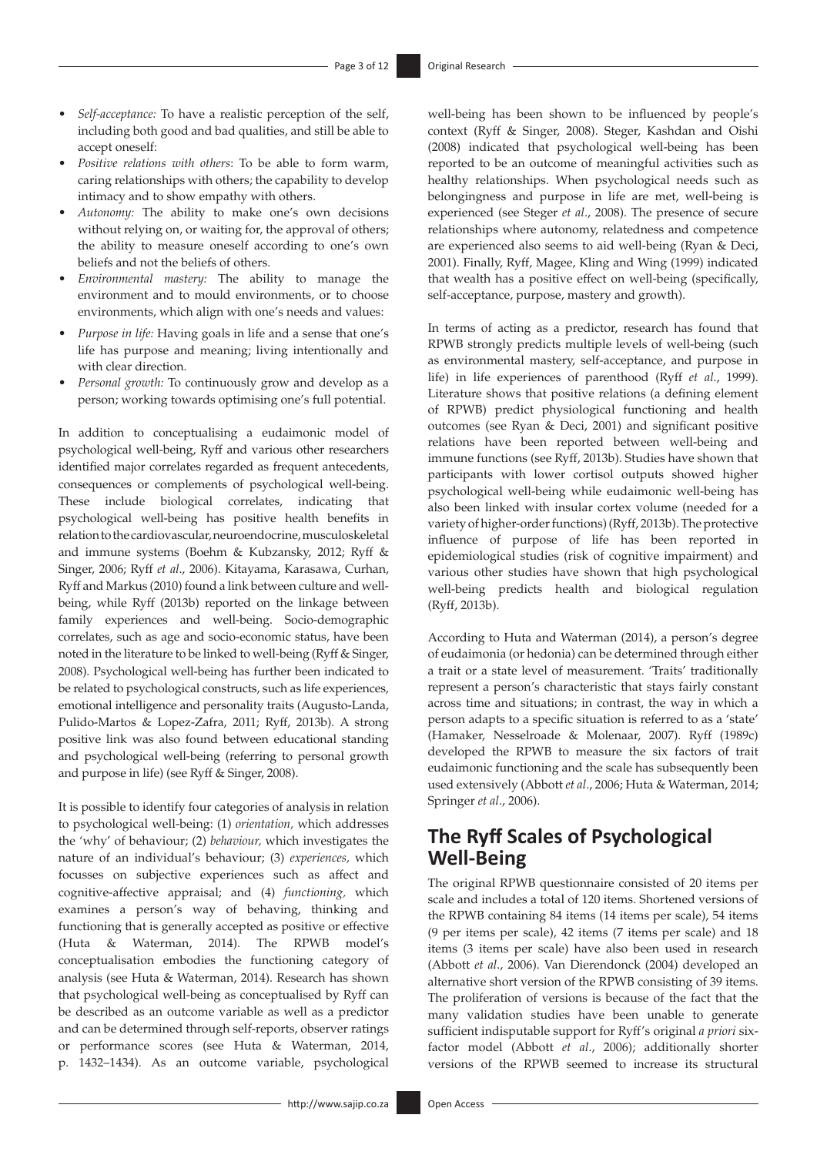- • *Self-acceptance:* To have a realistic perception of the self, including both good and bad qualities, and still be able to accept oneself:
- • *Positive relations with others*: To be able to form warm, caring relationships with others; the capability to develop intimacy and to show empathy with others.
- Autonomy: The ability to make one's own decisions without relying on, or waiting for, the approval of others; the ability to measure oneself according to one's own beliefs and not the beliefs of others.
- Environmental mastery: The ability to manage the environment and to mould environments, or to choose environments, which align with one's needs and values:
- Purpose in life: Having goals in life and a sense that one's life has purpose and meaning; living intentionally and with clear direction.
- Personal growth: To continuously grow and develop as a person; working towards optimising one's full potential.

In addition to conceptualising a eudaimonic model of psychological well-being, Ryff and various other researchers identified major correlates regarded as frequent antecedents, consequences or complements of psychological well-being. These include biological correlates, indicating that psychological well-being has positive health benefits in relation to the cardiovascular, neuroendocrine, musculoskeletal and immune systems (Boehm & Kubzansky, 2012; Ryff & Singer, 2006; Ryff *et al*., 2006). Kitayama, Karasawa, Curhan, Ryff and Markus (2010) found a link between culture and wellbeing, while Ryff (2013b) reported on the linkage between family experiences and well-being. Socio-demographic correlates, such as age and socio-economic status, have been noted in the literature to be linked to well-being (Ryff & Singer, 2008). Psychological well-being has further been indicated to be related to psychological constructs, such as life experiences, emotional intelligence and personality traits (Augusto-Landa, Pulido-Martos & Lopez-Zafra, 2011; Ryff, 2013b). A strong positive link was also found between educational standing and psychological well-being (referring to personal growth and purpose in life) (see Ryff & Singer, 2008).

It is possible to identify four categories of analysis in relation to psychological well-being: (1) *orientation,* which addresses the 'why' of behaviour; (2) *behaviour,* which investigates the nature of an individual's behaviour; (3) *experiences,* which focusses on subjective experiences such as affect and cognitive-affective appraisal; and (4) *functioning,* which examines a person's way of behaving, thinking and functioning that is generally accepted as positive or effective (Huta & Waterman, 2014). The RPWB model's conceptualisation embodies the functioning category of analysis (see Huta & Waterman, 2014). Research has shown that psychological well-being as conceptualised by Ryff can be described as an outcome variable as well as a predictor and can be determined through self-reports, observer ratings or performance scores (see Huta & Waterman, 2014, p. 1432–1434). As an outcome variable, psychological

well-being has been shown to be influenced by people's context (Ryff & Singer, 2008). Steger, Kashdan and Oishi (2008) indicated that psychological well-being has been reported to be an outcome of meaningful activities such as healthy relationships. When psychological needs such as belongingness and purpose in life are met, well-being is experienced (see Steger *et al*., 2008). The presence of secure relationships where autonomy, relatedness and competence are experienced also seems to aid well-being (Ryan & Deci, 2001). Finally, Ryff, Magee, Kling and Wing (1999) indicated that wealth has a positive effect on well-being (specifically, self-acceptance, purpose, mastery and growth).

In terms of acting as a predictor, research has found that RPWB strongly predicts multiple levels of well-being (such as environmental mastery, self-acceptance, and purpose in life) in life experiences of parenthood (Ryff *et al*., 1999). Literature shows that positive relations (a defining element of RPWB) predict physiological functioning and health outcomes (see Ryan & Deci, 2001) and significant positive relations have been reported between well-being and immune functions (see Ryff, 2013b). Studies have shown that participants with lower cortisol outputs showed higher psychological well-being while eudaimonic well-being has also been linked with insular cortex volume (needed for a variety of higher-order functions) (Ryff, 2013b). The protective influence of purpose of life has been reported in epidemiological studies (risk of cognitive impairment) and various other studies have shown that high psychological well-being predicts health and biological regulation (Ryff, 2013b).

According to Huta and Waterman (2014), a person's degree of eudaimonia (or hedonia) can be determined through either a trait or a state level of measurement. 'Traits' traditionally represent a person's characteristic that stays fairly constant across time and situations; in contrast, the way in which a person adapts to a specific situation is referred to as a 'state' (Hamaker, Nesselroade & Molenaar, 2007). Ryff (1989c) developed the RPWB to measure the six factors of trait eudaimonic functioning and the scale has subsequently been used extensively (Abbott *et al*., 2006; Huta & Waterman, 2014; Springer *et al*., 2006).

## **The Ryff Scales of Psychological Well-Being**

The original RPWB questionnaire consisted of 20 items per scale and includes a total of 120 items. Shortened versions of the RPWB containing 84 items (14 items per scale), 54 items (9 per items per scale), 42 items (7 items per scale) and 18 items (3 items per scale) have also been used in research (Abbott *et al*., 2006). Van Dierendonck (2004) developed an alternative short version of the RPWB consisting of 39 items. The proliferation of versions is because of the fact that the many validation studies have been unable to generate sufficient indisputable support for Ryff's original *a priori* sixfactor model (Abbott *et al*., 2006); additionally shorter versions of the RPWB seemed to increase its structural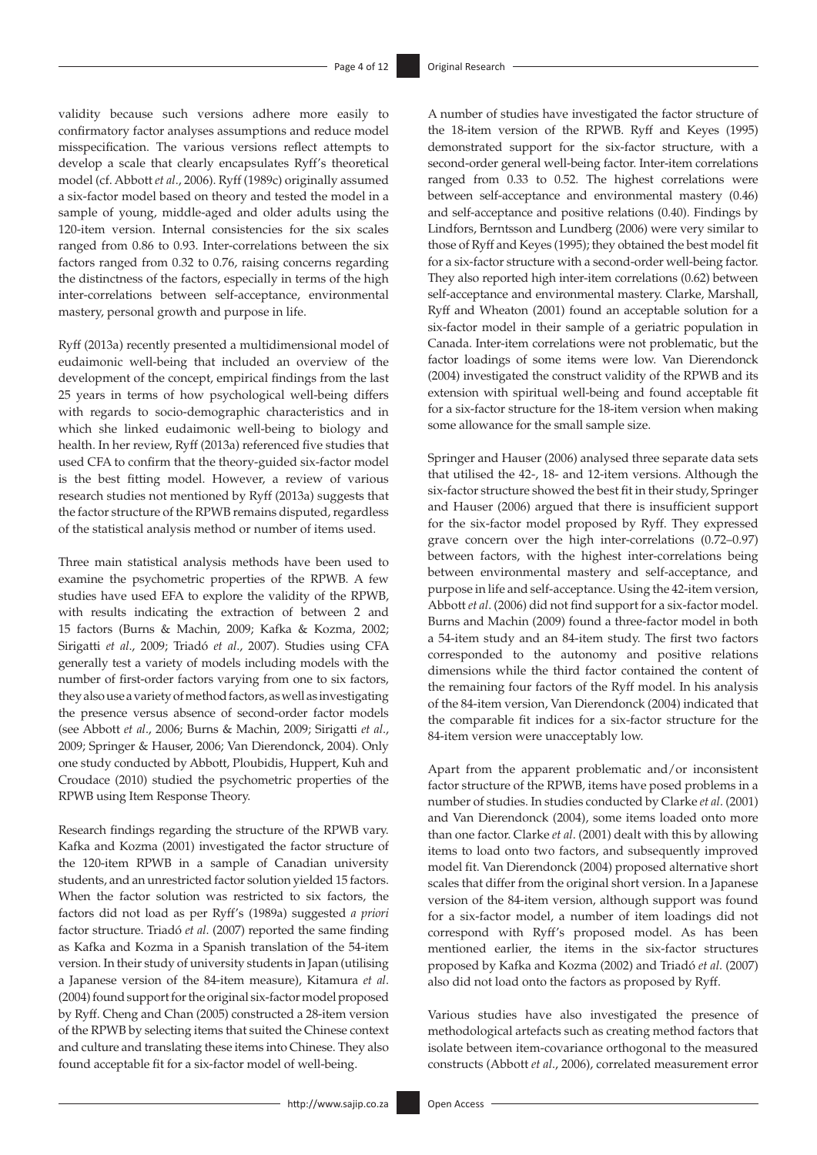validity because such versions adhere more easily to confirmatory factor analyses assumptions and reduce model misspecification. The various versions reflect attempts to develop a scale that clearly encapsulates Ryff's theoretical model (cf. Abbott *et al*., 2006). Ryff (1989c) originally assumed a six-factor model based on theory and tested the model in a sample of young, middle-aged and older adults using the 120-item version. Internal consistencies for the six scales ranged from 0.86 to 0.93. Inter-correlations between the six factors ranged from 0.32 to 0.76, raising concerns regarding the distinctness of the factors, especially in terms of the high inter-correlations between self-acceptance, environmental mastery, personal growth and purpose in life.

Ryff (2013a) recently presented a multidimensional model of eudaimonic well-being that included an overview of the development of the concept, empirical findings from the last 25 years in terms of how psychological well-being differs with regards to socio-demographic characteristics and in which she linked eudaimonic well-being to biology and health. In her review, Ryff (2013a) referenced five studies that used CFA to confirm that the theory-guided six-factor model is the best fitting model. However, a review of various research studies not mentioned by Ryff (2013a) suggests that the factor structure of the RPWB remains disputed, regardless of the statistical analysis method or number of items used.

Three main statistical analysis methods have been used to examine the psychometric properties of the RPWB. A few studies have used EFA to explore the validity of the RPWB, with results indicating the extraction of between 2 and 15 factors (Burns & Machin, 2009; Kafka & Kozma, 2002; Sirigatti *et al*., 2009; Triadó *et al*., 2007). Studies using CFA generally test a variety of models including models with the number of first-order factors varying from one to six factors, they also use a variety of method factors, as well as investigating the presence versus absence of second-order factor models (see Abbott *et al*., 2006; Burns & Machin, 2009; Sirigatti *et al*., 2009; Springer & Hauser, 2006; Van Dierendonck, 2004). Only one study conducted by Abbott, Ploubidis, Huppert, Kuh and Croudace (2010) studied the psychometric properties of the RPWB using Item Response Theory.

Research findings regarding the structure of the RPWB vary. Kafka and Kozma (2001) investigated the factor structure of the 120-item RPWB in a sample of Canadian university students, and an unrestricted factor solution yielded 15 factors. When the factor solution was restricted to six factors, the factors did not load as per Ryff's (1989a) suggested *a priori* factor structure. Triadó *et al*. (2007) reported the same finding as Kafka and Kozma in a Spanish translation of the 54-item version. In their study of university students in Japan (utilising a Japanese version of the 84-item measure), Kitamura *et al*. (2004) found support for the original six-factor model proposed by Ryff. Cheng and Chan (2005) constructed a 28-item version of the RPWB by selecting items that suited the Chinese context and culture and translating these items into Chinese. They also found acceptable fit for a six-factor model of well-being.

A number of studies have investigated the factor structure of the 18-item version of the RPWB. Ryff and Keyes (1995) demonstrated support for the six-factor structure, with a second-order general well-being factor. Inter-item correlations ranged from 0.33 to 0.52. The highest correlations were between self-acceptance and environmental mastery (0.46) and self-acceptance and positive relations (0.40). Findings by Lindfors, Berntsson and Lundberg (2006) were very similar to those of Ryff and Keyes (1995); they obtained the best model fit for a six-factor structure with a second-order well-being factor. They also reported high inter-item correlations (0.62) between self-acceptance and environmental mastery. Clarke, Marshall, Ryff and Wheaton (2001) found an acceptable solution for a six-factor model in their sample of a geriatric population in Canada. Inter-item correlations were not problematic, but the factor loadings of some items were low. Van Dierendonck (2004) investigated the construct validity of the RPWB and its extension with spiritual well-being and found acceptable fit for a six-factor structure for the 18-item version when making some allowance for the small sample size.

Springer and Hauser (2006) analysed three separate data sets that utilised the 42-, 18- and 12-item versions. Although the six-factor structure showed the best fit in their study, Springer and Hauser (2006) argued that there is insufficient support for the six-factor model proposed by Ryff. They expressed grave concern over the high inter-correlations (0.72–0.97) between factors, with the highest inter-correlations being between environmental mastery and self-acceptance, and purpose in life and self-acceptance. Using the 42-item version, Abbott *et al*. (2006) did not find support for a six-factor model. Burns and Machin (2009) found a three-factor model in both a 54-item study and an 84-item study. The first two factors corresponded to the autonomy and positive relations dimensions while the third factor contained the content of the remaining four factors of the Ryff model. In his analysis of the 84-item version, Van Dierendonck (2004) indicated that the comparable fit indices for a six-factor structure for the 84-item version were unacceptably low.

Apart from the apparent problematic and/or inconsistent factor structure of the RPWB, items have posed problems in a number of studies. In studies conducted by Clarke *et al*. (2001) and Van Dierendonck (2004), some items loaded onto more than one factor. Clarke *et al*. (2001) dealt with this by allowing items to load onto two factors, and subsequently improved model fit. Van Dierendonck (2004) proposed alternative short scales that differ from the original short version. In a Japanese version of the 84-item version, although support was found for a six-factor model, a number of item loadings did not correspond with Ryff's proposed model. As has been mentioned earlier, the items in the six-factor structures proposed by Kafka and Kozma (2002) and Triadó *et al*. (2007) also did not load onto the factors as proposed by Ryff.

Various studies have also investigated the presence of methodological artefacts such as creating method factors that isolate between item-covariance orthogonal to the measured constructs (Abbott *et al*., 2006), correlated measurement error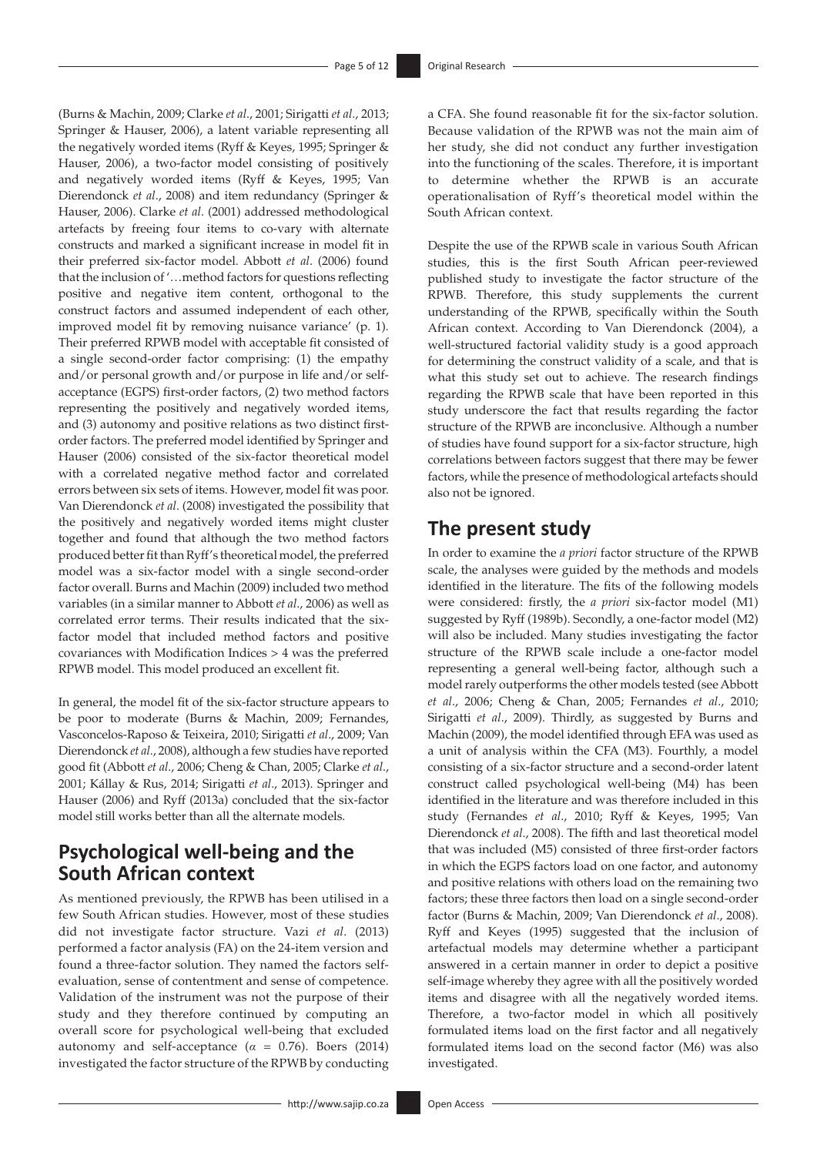(Burns & Machin, 2009; Clarke *et al*., 2001; Sirigatti *et al*., 2013; Springer & Hauser, 2006), a latent variable representing all the negatively worded items (Ryff & Keyes, 1995; Springer & Hauser, 2006), a two-factor model consisting of positively and negatively worded items (Ryff & Keyes, 1995; Van Dierendonck *et al*., 2008) and item redundancy (Springer & Hauser, 2006). Clarke *et al*. (2001) addressed methodological artefacts by freeing four items to co-vary with alternate constructs and marked a significant increase in model fit in their preferred six-factor model. Abbott *et al*. (2006) found that the inclusion of '…method factors for questions reflecting positive and negative item content, orthogonal to the construct factors and assumed independent of each other, improved model fit by removing nuisance variance' (p. 1). Their preferred RPWB model with acceptable fit consisted of a single second-order factor comprising: (1) the empathy and/or personal growth and/or purpose in life and/or selfacceptance (EGPS) first-order factors, (2) two method factors representing the positively and negatively worded items, and (3) autonomy and positive relations as two distinct firstorder factors. The preferred model identified by Springer and Hauser (2006) consisted of the six-factor theoretical model with a correlated negative method factor and correlated errors between six sets of items. However, model fit was poor. Van Dierendonck *et al*. (2008) investigated the possibility that the positively and negatively worded items might cluster together and found that although the two method factors produced better fit than Ryff's theoretical model, the preferred model was a six-factor model with a single second-order factor overall. Burns and Machin (2009) included two method variables (in a similar manner to Abbott *et al*., 2006) as well as correlated error terms. Their results indicated that the sixfactor model that included method factors and positive covariances with Modification Indices > 4 was the preferred RPWB model. This model produced an excellent fit.

In general, the model fit of the six-factor structure appears to be poor to moderate (Burns & Machin, 2009; Fernandes, Vasconcelos-Raposo & Teixeira, 2010; Sirigatti *et al*., 2009; Van Dierendonck *et al*., 2008), although a few studies have reported good fit (Abbott *et al*., 2006; Cheng & Chan, 2005; Clarke *et al*., 2001; Kállay & Rus, 2014; Sirigatti *et al*., 2013). Springer and Hauser (2006) and Ryff (2013a) concluded that the six-factor model still works better than all the alternate models.

## **Psychological well-being and the South African context**

As mentioned previously, the RPWB has been utilised in a few South African studies. However, most of these studies did not investigate factor structure. Vazi *et al*. (2013) performed a factor analysis (FA) on the 24-item version and found a three-factor solution. They named the factors selfevaluation, sense of contentment and sense of competence. Validation of the instrument was not the purpose of their study and they therefore continued by computing an overall score for psychological well-being that excluded autonomy and self-acceptance ( $\alpha = 0.76$ ). Boers (2014) investigated the factor structure of the RPWB by conducting a CFA. She found reasonable fit for the six-factor solution. Because validation of the RPWB was not the main aim of her study, she did not conduct any further investigation into the functioning of the scales. Therefore, it is important to determine whether the RPWB is an accurate operationalisation of Ryff's theoretical model within the South African context.

Despite the use of the RPWB scale in various South African studies, this is the first South African peer-reviewed published study to investigate the factor structure of the RPWB. Therefore, this study supplements the current understanding of the RPWB, specifically within the South African context. According to Van Dierendonck (2004), a well-structured factorial validity study is a good approach for determining the construct validity of a scale, and that is what this study set out to achieve. The research findings regarding the RPWB scale that have been reported in this study underscore the fact that results regarding the factor structure of the RPWB are inconclusive. Although a number of studies have found support for a six-factor structure, high correlations between factors suggest that there may be fewer factors, while the presence of methodological artefacts should also not be ignored.

## **The present study**

In order to examine the *a priori* factor structure of the RPWB scale, the analyses were guided by the methods and models identified in the literature. The fits of the following models were considered: firstly, the *a priori* six-factor model (M1) suggested by Ryff (1989b). Secondly, a one-factor model (M2) will also be included. Many studies investigating the factor structure of the RPWB scale include a one-factor model representing a general well-being factor, although such a model rarely outperforms the other models tested (see Abbott *et al*., 2006; Cheng & Chan, 2005; Fernandes *et al*., 2010; Sirigatti *et al*., 2009). Thirdly, as suggested by Burns and Machin (2009), the model identified through EFA was used as a unit of analysis within the CFA (M3). Fourthly, a model consisting of a six-factor structure and a second-order latent construct called psychological well-being (M4) has been identified in the literature and was therefore included in this study (Fernandes *et al*., 2010; Ryff & Keyes, 1995; Van Dierendonck *et al*., 2008). The fifth and last theoretical model that was included (M5) consisted of three first-order factors in which the EGPS factors load on one factor, and autonomy and positive relations with others load on the remaining two factors; these three factors then load on a single second-order factor (Burns & Machin, 2009; Van Dierendonck *et al*., 2008). Ryff and Keyes (1995) suggested that the inclusion of artefactual models may determine whether a participant answered in a certain manner in order to depict a positive self-image whereby they agree with all the positively worded items and disagree with all the negatively worded items. Therefore, a two-factor model in which all positively formulated items load on the first factor and all negatively formulated items load on the second factor (M6) was also investigated.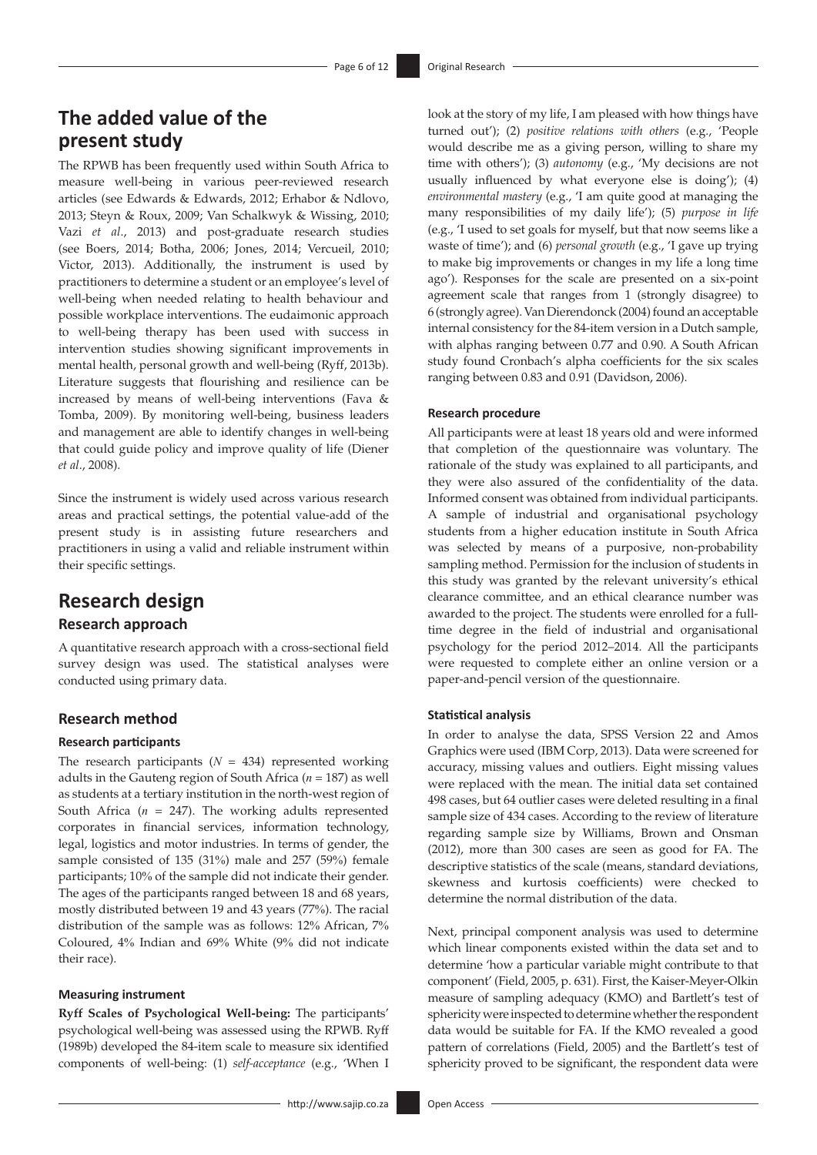## **The added value of the present study**

The RPWB has been frequently used within South Africa to measure well-being in various peer-reviewed research articles (see Edwards & Edwards, 2012; Erhabor & Ndlovo, 2013; Steyn & Roux, 2009; Van Schalkwyk & Wissing, 2010; Vazi *et al*., 2013) and post-graduate research studies (see Boers, 2014; Botha, 2006; Jones, 2014; Vercueil, 2010; Victor, 2013). Additionally, the instrument is used by practitioners to determine a student or an employee's level of well-being when needed relating to health behaviour and possible workplace interventions. The eudaimonic approach to well-being therapy has been used with success in intervention studies showing significant improvements in mental health, personal growth and well-being (Ryff, 2013b). Literature suggests that flourishing and resilience can be increased by means of well-being interventions (Fava & Tomba, 2009). By monitoring well-being, business leaders and management are able to identify changes in well-being that could guide policy and improve quality of life (Diener *et al*., 2008).

Since the instrument is widely used across various research areas and practical settings, the potential value-add of the present study is in assisting future researchers and practitioners in using a valid and reliable instrument within their specific settings.

## **Research design**

### **Research approach**

A quantitative research approach with a cross-sectional field survey design was used. The statistical analyses were conducted using primary data.

### **Research method**

### **Research participants**

The research participants  $(N = 434)$  represented working adults in the Gauteng region of South Africa (*n* = 187) as well as students at a tertiary institution in the north-west region of South Africa (*n* = 247). The working adults represented corporates in financial services, information technology, legal, logistics and motor industries. In terms of gender, the sample consisted of 135 (31%) male and 257 (59%) female participants; 10% of the sample did not indicate their gender. The ages of the participants ranged between 18 and 68 years, mostly distributed between 19 and 43 years (77%). The racial distribution of the sample was as follows: 12% African, 7% Coloured, 4% Indian and 69% White (9% did not indicate their race).

### **Measuring instrument**

**Ryff Scales of Psychological Well-being:** The participants' psychological well-being was assessed using the RPWB. Ryff (1989b) developed the 84-item scale to measure six identified components of well-being: (1) *self-acceptance* (e.g., 'When I look at the story of my life, I am pleased with how things have turned out'); (2) *positive relations with others* (e.g., 'People would describe me as a giving person, willing to share my time with others'); (3) *autonomy* (e.g., 'My decisions are not usually influenced by what everyone else is doing'); (4) *environmental mastery* (e.g., 'I am quite good at managing the many responsibilities of my daily life'); (5) *purpose in life* (e.g., 'I used to set goals for myself, but that now seems like a waste of time'); and (6) *personal growth* (e.g., 'I gave up trying to make big improvements or changes in my life a long time ago'). Responses for the scale are presented on a six-point agreement scale that ranges from 1 (strongly disagree) to 6 (strongly agree). Van Dierendonck (2004) found an acceptable internal consistency for the 84-item version in a Dutch sample, with alphas ranging between 0.77 and 0.90. A South African study found Cronbach's alpha coefficients for the six scales ranging between 0.83 and 0.91 (Davidson, 2006).

### **Research procedure**

All participants were at least 18 years old and were informed that completion of the questionnaire was voluntary. The rationale of the study was explained to all participants, and they were also assured of the confidentiality of the data. Informed consent was obtained from individual participants. A sample of industrial and organisational psychology students from a higher education institute in South Africa was selected by means of a purposive, non-probability sampling method. Permission for the inclusion of students in this study was granted by the relevant university's ethical clearance committee, and an ethical clearance number was awarded to the project. The students were enrolled for a fulltime degree in the field of industrial and organisational psychology for the period 2012–2014. All the participants were requested to complete either an online version or a paper-and-pencil version of the questionnaire.

### **Statistical analysis**

In order to analyse the data, SPSS Version 22 and Amos Graphics were used (IBM Corp, 2013). Data were screened for accuracy, missing values and outliers. Eight missing values were replaced with the mean. The initial data set contained 498 cases, but 64 outlier cases were deleted resulting in a final sample size of 434 cases. According to the review of literature regarding sample size by Williams, Brown and Onsman (2012), more than 300 cases are seen as good for FA. The descriptive statistics of the scale (means, standard deviations, skewness and kurtosis coefficients) were checked to determine the normal distribution of the data.

Next, principal component analysis was used to determine which linear components existed within the data set and to determine 'how a particular variable might contribute to that component' (Field, 2005, p. 631). First, the Kaiser-Meyer-Olkin measure of sampling adequacy (KMO) and Bartlett's test of sphericity were inspected to determine whether the respondent data would be suitable for FA. If the KMO revealed a good pattern of correlations (Field, 2005) and the Bartlett's test of sphericity proved to be significant, the respondent data were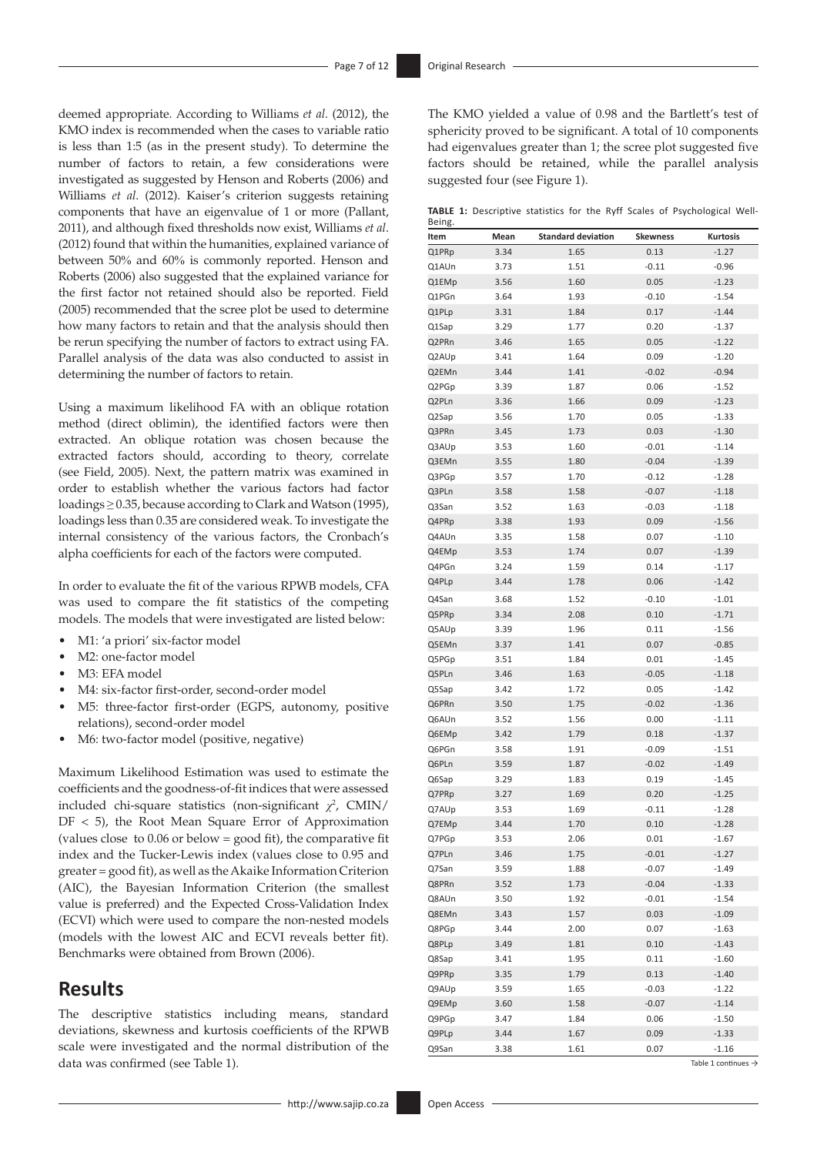deemed appropriate. According to Williams *et al*. (2012), the KMO index is recommended when the cases to variable ratio is less than 1:5 (as in the present study). To determine the number of factors to retain, a few considerations were investigated as suggested by Henson and Roberts (2006) and Williams *et al*. (2012). Kaiser's criterion suggests retaining components that have an eigenvalue of 1 or more (Pallant, 2011), and although fixed thresholds now exist, Williams *et al*. (2012) found that within the humanities, explained variance of between 50% and 60% is commonly reported. Henson and Roberts (2006) also suggested that the explained variance for the first factor not retained should also be reported. Field (2005) recommended that the scree plot be used to determine how many factors to retain and that the analysis should then be rerun specifying the number of factors to extract using FA. Parallel analysis of the data was also conducted to assist in determining the number of factors to retain.

Using a maximum likelihood FA with an oblique rotation method (direct oblimin), the identified factors were then extracted. An oblique rotation was chosen because the extracted factors should, according to theory, correlate (see Field, 2005). Next, the pattern matrix was examined in order to establish whether the various factors had factor loadings ≥ 0.35, because according to Clark and Watson (1995), loadings less than 0.35 are considered weak. To investigate the internal consistency of the various factors, the Cronbach's alpha coefficients for each of the factors were computed.

In order to evaluate the fit of the various RPWB models, CFA was used to compare the fit statistics of the competing models. The models that were investigated are listed below:

- M1: 'a priori' six-factor model
- M2: one-factor model
- M3: EFA model
- M4: six-factor first-order, second-order model
- M5: three-factor first-order (EGPS, autonomy, positive relations), second-order model
- M6: two-factor model (positive, negative)

Maximum Likelihood Estimation was used to estimate the coefficients and the goodness-of-fit indices that were assessed included chi-square statistics (non-significant *χ<sup>2</sup>*, CMIN/  $DF < 5$ ), the Root Mean Square Error of Approximation (values close to 0.06 or below = good fit), the comparative fit index and the Tucker-Lewis index (values close to 0.95 and greater = good fit), as well as the Akaike Information Criterion (AIC), the Bayesian Information Criterion (the smallest value is preferred) and the Expected Cross-Validation Index (ECVI) which were used to compare the non-nested models (models with the lowest AIC and ECVI reveals better fit). Benchmarks were obtained from Brown (2006).

### **Results**

The descriptive statistics including means, standard deviations, skewness and kurtosis coefficients of the RPWB scale were investigated and the normal distribution of the data was confirmed (see Table 1).

**TABLE 1:** Descriptive statistics for the Ryff Scales of Psychological Well-Being.

| DEIIIB.<br>Item | Mean | <b>Standard deviation</b> | Skewness | Kurtosis |
|-----------------|------|---------------------------|----------|----------|
| Q1PRp           | 3.34 | 1.65                      | 0.13     | $-1.27$  |
| Q1AUn           | 3.73 | 1.51                      | $-0.11$  | $-0.96$  |
|                 |      |                           |          | $-1.23$  |
| Q1EMp           | 3.56 | 1.60                      | 0.05     |          |
| Q1PGn           | 3.64 | 1.93                      | $-0.10$  | $-1.54$  |
| Q1PLp           | 3.31 | 1.84                      | 0.17     | $-1.44$  |
| Q1Sap           | 3.29 | 1.77                      | 0.20     | $-1.37$  |
| Q2PRn           | 3.46 | 1.65                      | 0.05     | $-1.22$  |
| Q2AUp           | 3.41 | 1.64                      | 0.09     | $-1.20$  |
| Q2EMn           | 3.44 | 1.41                      | $-0.02$  | $-0.94$  |
| Q2PGp           | 3.39 | 1.87                      | 0.06     | $-1.52$  |
| Q2PLn           | 3.36 | 1.66                      | 0.09     | $-1.23$  |
| Q2Sap           | 3.56 | 1.70                      | 0.05     | $-1.33$  |
| Q3PRn           | 3.45 | 1.73                      | 0.03     | $-1.30$  |
| Q3AUp           | 3.53 | 1.60                      | $-0.01$  | $-1.14$  |
| Q3EMn           | 3.55 | 1.80                      | $-0.04$  | $-1.39$  |
| Q3PGp           | 3.57 | 1.70                      | $-0.12$  | $-1.28$  |
| Q3PLn           | 3.58 | 1.58                      | $-0.07$  | $-1.18$  |
| Q3San           | 3.52 | 1.63                      | $-0.03$  | $-1.18$  |
| Q4PRp           | 3.38 | 1.93                      | 0.09     | $-1.56$  |
| Q4AUn           | 3.35 | 1.58                      | 0.07     | $-1.10$  |
| Q4EMp           | 3.53 | 1.74                      | 0.07     | $-1.39$  |
| Q4PGn           | 3.24 | 1.59                      | 0.14     | $-1.17$  |
| Q4PLp           | 3.44 | 1.78                      | 0.06     | $-1.42$  |
| Q4San           | 3.68 | 1.52                      | $-0.10$  | $-1.01$  |
| Q5PRp           | 3.34 | 2.08                      | 0.10     | $-1.71$  |
| Q5AUp           | 3.39 | 1.96                      | 0.11     | $-1.56$  |
| Q5EMn           | 3.37 | 1.41                      | 0.07     | $-0.85$  |
| Q5PGp           | 3.51 | 1.84                      | 0.01     | $-1.45$  |
| Q5PLn           | 3.46 | 1.63                      | $-0.05$  | $-1.18$  |
| Q5Sap           | 3.42 | 1.72                      | 0.05     | $-1.42$  |
| Q6PRn           | 3.50 | 1.75                      | $-0.02$  | $-1.36$  |
| Q6AUn           | 3.52 | 1.56                      | 0.00     | $-1.11$  |
| Q6EMp           | 3.42 | 1.79                      | 0.18     | $-1.37$  |
| Q6PGn           | 3.58 | 1.91                      | $-0.09$  | $-1.51$  |
| Q6PLn           | 3.59 | 1.87                      | $-0.02$  | $-1.49$  |
| Q6Sap           | 3.29 | 1.83                      | 0.19     | $-1.45$  |
| Q7PRp           | 3.27 | 1.69                      | 0.20     | $-1.25$  |
| Q7AUp           | 3.53 | 1.69                      | $-0.11$  | $-1.28$  |
| Q7EMp           | 3.44 | 1.70                      | 0.10     | $-1.28$  |
| Q7PGp           | 3.53 | 2.06                      | 0.01     | $-1.67$  |
| Q7PLn           | 3.46 | 1.75                      | $-0.01$  | $-1.27$  |
| Q7San           | 3.59 | 1.88                      | $-0.07$  | $-1.49$  |
|                 |      |                           |          |          |
| Q8PRn           | 3.52 | 1.73                      | $-0.04$  | $-1.33$  |
| Q8AUn           | 3.50 | 1.92                      | $-0.01$  | $-1.54$  |
| Q8EMn           | 3.43 | 1.57                      | 0.03     | $-1.09$  |
| Q8PGp           | 3.44 | 2.00                      | 0.07     | $-1.63$  |
| Q8PLp           | 3.49 | 1.81                      | 0.10     | $-1.43$  |
| Q8Sap           | 3.41 | 1.95                      | 0.11     | $-1.60$  |
| Q9PRp           | 3.35 | 1.79                      | 0.13     | $-1.40$  |
| Q9AUp           | 3.59 | 1.65                      | $-0.03$  | $-1.22$  |
| Q9EMp           | 3.60 | 1.58                      | $-0.07$  | $-1.14$  |
| Q9PGp           | 3.47 | 1.84                      | 0.06     | $-1.50$  |
| Q9PLp           | 3.44 | 1.67                      | 0.09     | $-1.33$  |
| Q9San           | 3.38 | 1.61                      | 0.07     | $-1.16$  |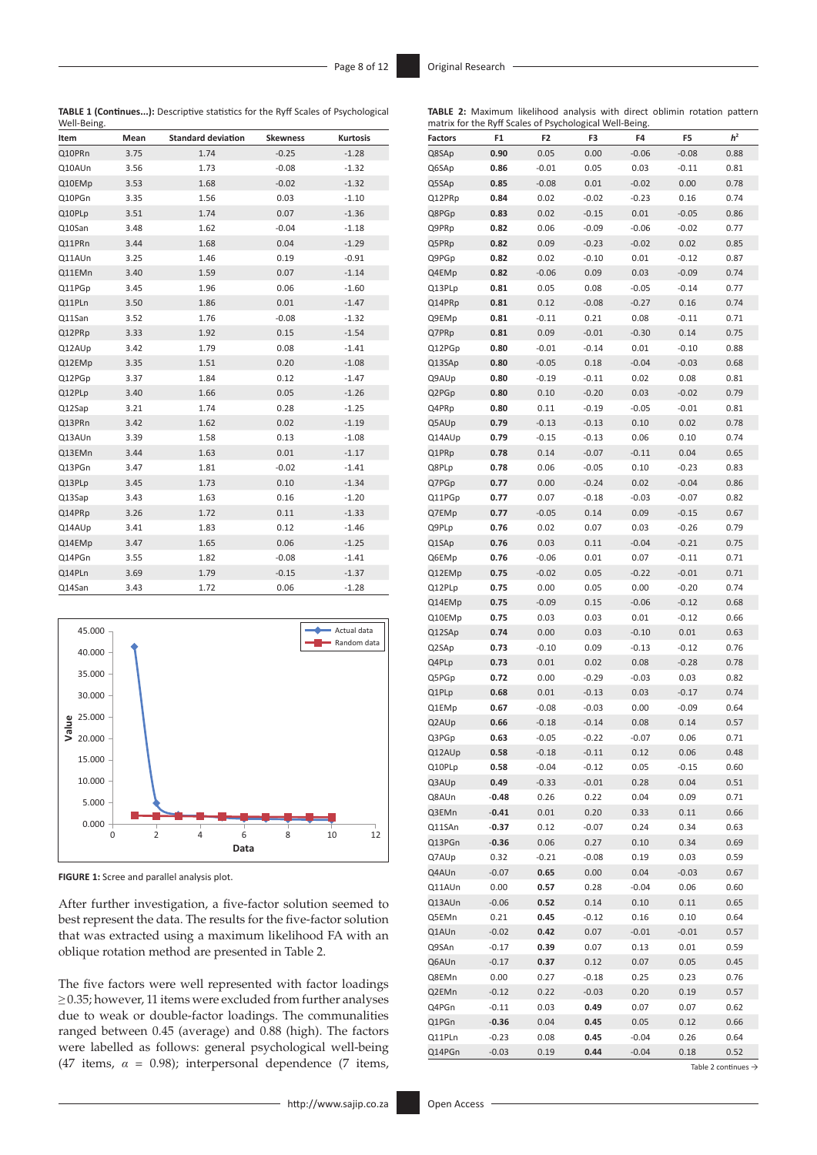**TABLE 1 (Continues...):** Descriptive statistics for the Ryff Scales of Psychological Well-Being.

| Item   | Mean | <b>Standard deviation</b> | <b>Skewness</b> | <b>Kurtosis</b> |
|--------|------|---------------------------|-----------------|-----------------|
| Q10PRn | 3.75 | 1.74                      | $-0.25$         | $-1.28$         |
| Q10AUn | 3.56 | 1.73                      | $-0.08$         | $-1.32$         |
| Q10EMp | 3.53 | 1.68                      | $-0.02$         | $-1.32$         |
| Q10PGn | 3.35 | 1.56                      | 0.03            | $-1.10$         |
| Q10PLp | 3.51 | 1.74                      | 0.07            | $-1.36$         |
| Q10San | 3.48 | 1.62                      | $-0.04$         | $-1.18$         |
| Q11PRn | 3.44 | 1.68                      | 0.04            | $-1.29$         |
| Q11AUn | 3.25 | 1.46                      | 0.19            | $-0.91$         |
| Q11EMn | 3.40 | 1.59                      | 0.07            | $-1.14$         |
| Q11PGp | 3.45 | 1.96                      | 0.06            | $-1.60$         |
| Q11PLn | 3.50 | 1.86                      | 0.01            | $-1.47$         |
| Q11San | 3.52 | 1.76                      | $-0.08$         | $-1.32$         |
| Q12PRp | 3.33 | 1.92                      | 0.15            | $-1.54$         |
| Q12AUp | 3.42 | 1.79                      | 0.08            | $-1.41$         |
| Q12EMp | 3.35 | 1.51                      | 0.20            | $-1.08$         |
| Q12PGp | 3.37 | 1.84                      | 0.12            | $-1.47$         |
| Q12PLp | 3.40 | 1.66                      | 0.05            | $-1.26$         |
| Q12Sap | 3.21 | 1.74                      | 0.28            | $-1.25$         |
| Q13PRn | 3.42 | 1.62                      | 0.02            | $-1.19$         |
| Q13AUn | 3.39 | 1.58                      | 0.13            | $-1.08$         |
| Q13EMn | 3.44 | 1.63                      | 0.01            | $-1.17$         |
| Q13PGn | 3.47 | 1.81                      | $-0.02$         | $-1.41$         |
| Q13PLp | 3.45 | 1.73                      | 0.10            | $-1.34$         |
| Q13Sap | 3.43 | 1.63                      | 0.16            | $-1.20$         |
| Q14PRp | 3.26 | 1.72                      | 0.11            | $-1.33$         |
| Q14AUp | 3.41 | 1.83                      | 0.12            | $-1.46$         |
| Q14EMp | 3.47 | 1.65                      | 0.06            | $-1.25$         |
| Q14PGn | 3.55 | 1.82                      | $-0.08$         | $-1.41$         |
| Q14PLn | 3.69 | 1.79                      | $-0.15$         | $-1.37$         |
| Q14San | 3.43 | 1.72                      | 0.06            | $-1.28$         |



**FIGURE 1:** Scree and parallel analysis plot.

After further investigation, a five-factor solution seemed to best represent the data. The results for the five-factor solution that was extracted using a maximum likelihood FA with an oblique rotation method are presented in Table 2.

The five factors were well represented with factor loadings ≥ 0.35; however, 11 items were excluded from further analyses due to weak or double-factor loadings. The communalities ranged between 0.45 (average) and 0.88 (high). The factors were labelled as follows: general psychological well-being (47 items, *α* = 0.98); interpersonal dependence (7 items,

| TABLE 2: Maximum likelihood analysis with direct oblimin rotation pattern<br>matrix for the Ryff Scales of Psychological Well-Being. |         |                |         |         |         |                |
|--------------------------------------------------------------------------------------------------------------------------------------|---------|----------------|---------|---------|---------|----------------|
| <b>Factors</b>                                                                                                                       | F1      | F <sub>2</sub> | F3      | F4      | F5      | h <sup>2</sup> |
| Q8SAp                                                                                                                                | 0.90    | 0.05           | 0.00    | $-0.06$ | $-0.08$ | 0.88           |
| Q6SAp                                                                                                                                | 0.86    | $-0.01$        | 0.05    | 0.03    | $-0.11$ | 0.81           |
| Q5SAp                                                                                                                                | 0.85    | $-0.08$        | 0.01    | $-0.02$ | 0.00    | 0.78           |
| Q12PRp                                                                                                                               | 0.84    | 0.02           | $-0.02$ | $-0.23$ | 0.16    | 0.74           |
| Q8PGp                                                                                                                                | 0.83    | 0.02           | $-0.15$ | 0.01    | $-0.05$ | 0.86           |
| Q9PRp                                                                                                                                | 0.82    | 0.06           | $-0.09$ | $-0.06$ | $-0.02$ | 0.77           |
| Q5PRp                                                                                                                                | 0.82    | 0.09           | $-0.23$ | $-0.02$ | 0.02    | 0.85           |
| Q9PGp                                                                                                                                | 0.82    | 0.02           | $-0.10$ | 0.01    | $-0.12$ | 0.87           |
| Q4EMp                                                                                                                                | 0.82    | $-0.06$        | 0.09    | 0.03    | $-0.09$ | 0.74           |
| Q13PLp                                                                                                                               | 0.81    | 0.05           | 0.08    | $-0.05$ | $-0.14$ | 0.77           |
| Q14PRp                                                                                                                               | 0.81    | 0.12           | $-0.08$ | $-0.27$ | 0.16    | 0.74           |
| Q9EMp                                                                                                                                | 0.81    | $-0.11$        | 0.21    | 0.08    | $-0.11$ | 0.71           |
| Q7PRp                                                                                                                                | 0.81    | 0.09           | $-0.01$ | $-0.30$ | 0.14    | 0.75           |
| Q12PGp                                                                                                                               | 0.80    | $-0.01$        | $-0.14$ | 0.01    | $-0.10$ | 0.88           |
| Q13SAp                                                                                                                               | 0.80    | $-0.05$        | 0.18    | $-0.04$ | $-0.03$ | 0.68           |
| Q9AUp                                                                                                                                | 0.80    | $-0.19$        | $-0.11$ | 0.02    | 0.08    | 0.81           |
| Q2PGp                                                                                                                                | 0.80    | 0.10           | $-0.20$ | 0.03    | $-0.02$ | 0.79           |
| Q4PRp                                                                                                                                | 0.80    | 0.11           | $-0.19$ | $-0.05$ | $-0.01$ | 0.81           |
| Q5AUp                                                                                                                                | 0.79    | $-0.13$        | $-0.13$ | 0.10    | 0.02    | 0.78           |
| Q14AUp                                                                                                                               | 0.79    | $-0.15$        | $-0.13$ | 0.06    | 0.10    | 0.74           |
| Q1PRp                                                                                                                                | 0.78    | 0.14           | $-0.07$ | $-0.11$ | 0.04    | 0.65           |
| Q8PLp                                                                                                                                | 0.78    | 0.06           | $-0.05$ | 0.10    | $-0.23$ | 0.83           |
| Q7PGp                                                                                                                                | 0.77    | 0.00           | $-0.24$ | 0.02    | $-0.04$ | 0.86           |
| Q11PGp                                                                                                                               | 0.77    | 0.07           | $-0.18$ | $-0.03$ | $-0.07$ | 0.82           |
| Q7EMp                                                                                                                                | 0.77    | $-0.05$        | 0.14    | 0.09    | $-0.15$ | 0.67           |
| Q9PLp                                                                                                                                | 0.76    | 0.02           | 0.07    | 0.03    | $-0.26$ | 0.79           |
| Q1SAp                                                                                                                                | 0.76    | 0.03           | 0.11    | $-0.04$ | $-0.21$ | 0.75           |
| Q6EMp                                                                                                                                | 0.76    | $-0.06$        | 0.01    | 0.07    | $-0.11$ | 0.71           |
| Q12EMp                                                                                                                               | 0.75    | $-0.02$        | 0.05    | $-0.22$ | $-0.01$ | 0.71           |
| Q12PLp                                                                                                                               | 0.75    | 0.00           | 0.05    | 0.00    | $-0.20$ | 0.74           |
| Q14EMp                                                                                                                               | 0.75    | $-0.09$        | 0.15    | $-0.06$ | $-0.12$ | 0.68           |
| Q10EMp                                                                                                                               | 0.75    | 0.03           | 0.03    | 0.01    | $-0.12$ | 0.66           |
| Q12SAp                                                                                                                               | 0.74    | 0.00           | 0.03    | $-0.10$ | 0.01    | 0.63           |
| Q2SAp                                                                                                                                | 0.73    | $-0.10$        | 0.09    | $-0.13$ | $-0.12$ | 0.76           |
| Q4PLp                                                                                                                                | 0.73    | 0.01           | 0.02    | 0.08    | $-0.28$ | 0.78           |
| Q5PGp                                                                                                                                | 0.72    | 0.00           | $-0.29$ | $-0.03$ | 0.03    | 0.82           |
| Q1PLp                                                                                                                                | 0.68    | 0.01           | $-0.13$ | 0.03    | $-0.17$ | 0.74           |
| Q1EMp                                                                                                                                | 0.67    | $-0.08$        | $-0.03$ | 0.00    | $-0.09$ | 0.64           |
| Q2AUp                                                                                                                                | 0.66    | $-0.18$        | $-0.14$ | 0.08    | 0.14    | 0.57           |
| Q3PGp                                                                                                                                | 0.63    | $-0.05$        | $-0.22$ | $-0.07$ | 0.06    | 0.71           |
| Q12AUp                                                                                                                               | 0.58    | $-0.18$        | $-0.11$ | 0.12    | 0.06    | 0.48           |
| Q10PLp                                                                                                                               | 0.58    | $-0.04$        | $-0.12$ | 0.05    | $-0.15$ | 0.60           |
| Q3AUp                                                                                                                                | 0.49    | $-0.33$        | $-0.01$ | 0.28    | 0.04    | 0.51           |
| Q8AUn                                                                                                                                | $-0.48$ | 0.26           | 0.22    | 0.04    | 0.09    | 0.71           |
| Q3EMn                                                                                                                                | $-0.41$ | 0.01           | 0.20    | 0.33    | 0.11    | 0.66           |
| Q11SAn                                                                                                                               | $-0.37$ | 0.12           | $-0.07$ | 0.24    | 0.34    | 0.63           |
| Q13PGn                                                                                                                               | $-0.36$ | 0.06           | 0.27    | 0.10    | 0.34    | 0.69           |
| Q7AUp                                                                                                                                | 0.32    | $-0.21$        | $-0.08$ | 0.19    | 0.03    | 0.59           |
| Q4AUn                                                                                                                                | $-0.07$ | 0.65           | 0.00    | 0.04    | $-0.03$ | 0.67           |
| Q11AUn                                                                                                                               | 0.00    | 0.57           | 0.28    | $-0.04$ | 0.06    | 0.60           |
| Q13AUn                                                                                                                               | $-0.06$ | 0.52           | 0.14    | 0.10    | 0.11    | 0.65           |
| Q5EMn                                                                                                                                | 0.21    | 0.45           | $-0.12$ | 0.16    | 0.10    | 0.64           |
| Q1AUn                                                                                                                                | $-0.02$ | 0.42           | 0.07    | $-0.01$ | $-0.01$ | 0.57           |
| Q9SAn                                                                                                                                | $-0.17$ | 0.39           | 0.07    | 0.13    | 0.01    | 0.59           |
| Q6AUn                                                                                                                                | $-0.17$ | 0.37           | 0.12    | 0.07    | 0.05    | 0.45           |
| Q8EMn                                                                                                                                | 0.00    | 0.27           | $-0.18$ | 0.25    | 0.23    | 0.76           |
| Q2EMn                                                                                                                                | $-0.12$ | 0.22           | $-0.03$ | 0.20    | 0.19    | 0.57           |
| Q4PGn                                                                                                                                | $-0.11$ | 0.03           | 0.49    | 0.07    | 0.07    | 0.62           |
| Q1PGn                                                                                                                                | $-0.36$ | 0.04           | 0.45    | 0.05    | 0.12    | 0.66           |
| Q11PLn                                                                                                                               | $-0.23$ | 0.08           | 0.45    | $-0.04$ | 0.26    | 0.64           |
| Q14PGn                                                                                                                               | $-0.03$ | 0.19           | 0.44    | $-0.04$ | 0.18    | 0.52           |
|                                                                                                                                      |         |                |         |         |         |                |

Table 2 continues →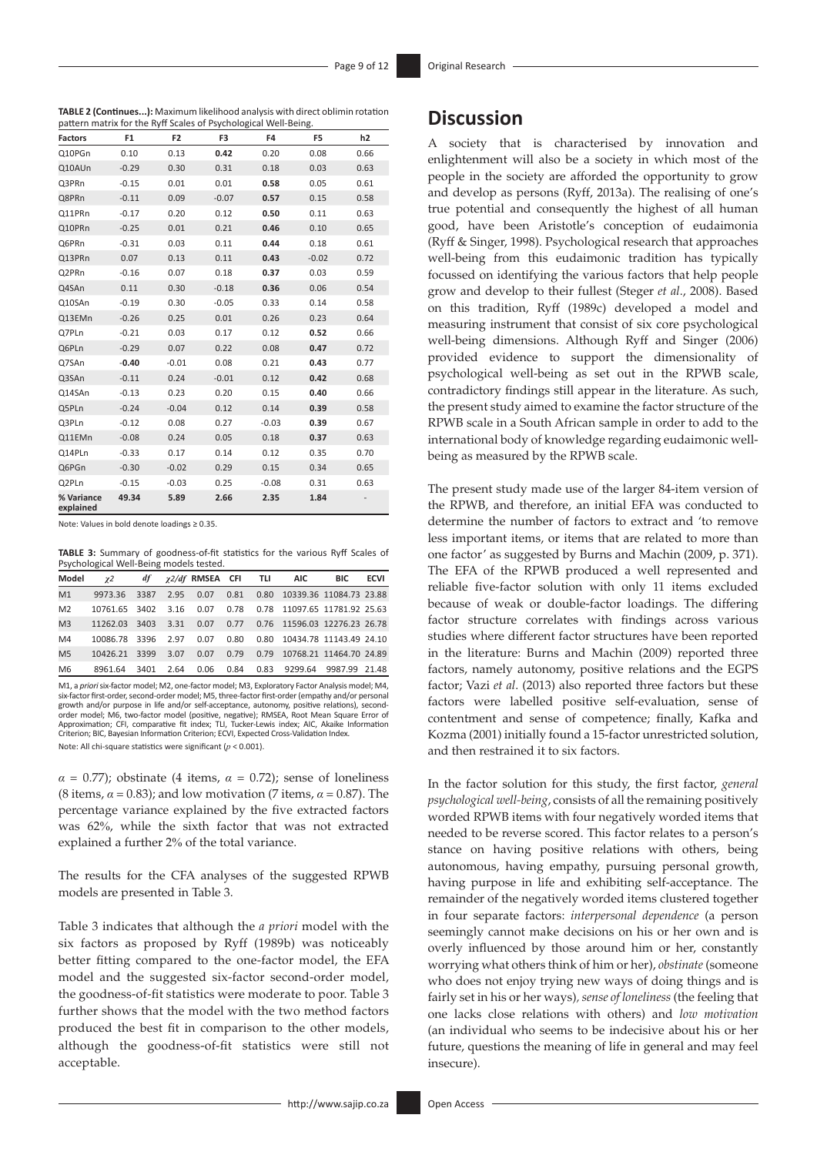**TABLE 2 (Continues...):** Maximum likelihood analysis with direct oblimin rotation

| pattern matrix for the Ryff Scales of Psychological Well-Being. |                |                |         |         |         |                |  |  |
|-----------------------------------------------------------------|----------------|----------------|---------|---------|---------|----------------|--|--|
| <b>Factors</b>                                                  | F <sub>1</sub> | F <sub>2</sub> | F3      | F4      | F5      | h <sub>2</sub> |  |  |
| Q10PGn                                                          | 0.10           | 0.13           | 0.42    | 0.20    | 0.08    | 0.66           |  |  |
| Q10AUn                                                          | $-0.29$        | 0.30           | 0.31    | 0.18    | 0.03    | 0.63           |  |  |
| Q3PRn                                                           | $-0.15$        | 0.01           | 0.01    | 0.58    | 0.05    | 0.61           |  |  |
| Q8PRn                                                           | $-0.11$        | 0.09           | $-0.07$ | 0.57    | 0.15    | 0.58           |  |  |
| Q11PRn                                                          | $-0.17$        | 0.20           | 0.12    | 0.50    | 0.11    | 0.63           |  |  |
| Q10PRn                                                          | $-0.25$        | 0.01           | 0.21    | 0.46    | 0.10    | 0.65           |  |  |
| Q6PRn                                                           | $-0.31$        | 0.03           | 0.11    | 0.44    | 0.18    | 0.61           |  |  |
| Q13PRn                                                          | 0.07           | 0.13           | 0.11    | 0.43    | $-0.02$ | 0.72           |  |  |
| Q2PRn                                                           | $-0.16$        | 0.07           | 0.18    | 0.37    | 0.03    | 0.59           |  |  |
| Q4SAn                                                           | 0.11           | 0.30           | $-0.18$ | 0.36    | 0.06    | 0.54           |  |  |
| Q10SAn                                                          | $-0.19$        | 0.30           | $-0.05$ | 0.33    | 0.14    | 0.58           |  |  |
| Q13EMn                                                          | $-0.26$        | 0.25           | 0.01    | 0.26    | 0.23    | 0.64           |  |  |
| Q7PLn                                                           | $-0.21$        | 0.03           | 0.17    | 0.12    | 0.52    | 0.66           |  |  |
| Q6PLn                                                           | $-0.29$        | 0.07           | 0.22    | 0.08    | 0.47    | 0.72           |  |  |
| Q7SAn                                                           | $-0.40$        | $-0.01$        | 0.08    | 0.21    | 0.43    | 0.77           |  |  |
| Q3SAn                                                           | $-0.11$        | 0.24           | $-0.01$ | 0.12    | 0.42    | 0.68           |  |  |
| Q14SAn                                                          | $-0.13$        | 0.23           | 0.20    | 0.15    | 0.40    | 0.66           |  |  |
| Q5PLn                                                           | $-0.24$        | $-0.04$        | 0.12    | 0.14    | 0.39    | 0.58           |  |  |
| Q3PLn                                                           | $-0.12$        | 0.08           | 0.27    | $-0.03$ | 0.39    | 0.67           |  |  |
| Q11EMn                                                          | $-0.08$        | 0.24           | 0.05    | 0.18    | 0.37    | 0.63           |  |  |
| Q14PLn                                                          | $-0.33$        | 0.17           | 0.14    | 0.12    | 0.35    | 0.70           |  |  |
| Q6PGn                                                           | $-0.30$        | $-0.02$        | 0.29    | 0.15    | 0.34    | 0.65           |  |  |
| Q2PLn                                                           | $-0.15$        | $-0.03$        | 0.25    | $-0.08$ | 0.31    | 0.63           |  |  |
| % Variance<br>explained                                         | 49.34          | 5.89           | 2.66    | 2.35    | 1.84    |                |  |  |

Note: Values in bold denote loadings ≥ 0.35.

**TABLE 3:** Summary of goodness-of-fit statistics for the various Ryff Scales of Psychological Well-Being models tested.

| $\gamma$ 2 |      |               |                                    |  | <b>BIC</b>                         | <b>ECVI</b>                                                                                                                                                                                                                                                                                          |
|------------|------|---------------|------------------------------------|--|------------------------------------|------------------------------------------------------------------------------------------------------------------------------------------------------------------------------------------------------------------------------------------------------------------------------------------------------|
|            |      |               |                                    |  |                                    |                                                                                                                                                                                                                                                                                                      |
|            |      |               |                                    |  |                                    |                                                                                                                                                                                                                                                                                                      |
|            |      |               |                                    |  |                                    |                                                                                                                                                                                                                                                                                                      |
|            |      |               |                                    |  |                                    |                                                                                                                                                                                                                                                                                                      |
|            |      |               | 0.07                               |  |                                    |                                                                                                                                                                                                                                                                                                      |
| 8961.64    | 3401 |               | 0.06                               |  |                                    |                                                                                                                                                                                                                                                                                                      |
|            |      | 10426.21 3399 | 10086.78 3396 2.97<br>3.07<br>2.64 |  | $df \gamma$ 2/df RMSEA CFI TLI AIC | 9973.36 3387 2.95 0.07 0.81 0.80 10339.36 11084.73 23.88<br>10761.65 3402 3.16 0.07 0.78 0.78 11097.65 11781.92 25.63<br>11262.03 3403 3.31 0.07 0.77 0.76 11596.03 12276.23 26.78<br>0.07 0.80 0.80 10434.78 11143.49 24.10<br>0.79 0.79 10768.21 11464.70 24.89<br>0.84 0.83 9299.64 9987.99 21.48 |

M1, a *priori* six-factor model; M2, one-factor model; M3, Exploratory Factor Analysis model; M4, six-factor first-order, second-order model; M5, three-factor first-order (empathy and/or personal growth and/or purpose in life and/or self-acceptance, autonomy, positive relations), secondorder model; M6, two-factor model (positive, negative); RMSEA, Root Mean Square Error of Approximation; CFI, comparative fit index; TLI, Tucker-Lewis index; AIC, Akaike Information Criterion; BIC, Bayesian Information Criterion; ECVI, Expected Cross-Validation Index*.* Note: All chi-square statistics were significant (*p* < 0.001).

 $\alpha = 0.77$ ); obstinate (4 items,  $\alpha = 0.72$ ); sense of loneliness (8 items, *α* = 0.83); and low motivation (7 items, *α* = 0.87). The percentage variance explained by the five extracted factors was 62%, while the sixth factor that was not extracted explained a further 2% of the total variance.

The results for the CFA analyses of the suggested RPWB models are presented in Table 3.

Table 3 indicates that although the *a priori* model with the six factors as proposed by Ryff (1989b) was noticeably better fitting compared to the one-factor model, the EFA model and the suggested six-factor second-order model, the goodness-of-fit statistics were moderate to poor. Table 3 further shows that the model with the two method factors produced the best fit in comparison to the other models, although the goodness-of-fit statistics were still not acceptable.

## **Discussion**

A society that is characterised by innovation and enlightenment will also be a society in which most of the people in the society are afforded the opportunity to grow and develop as persons (Ryff, 2013a). The realising of one's true potential and consequently the highest of all human good, have been Aristotle's conception of eudaimonia (Ryff & Singer, 1998). Psychological research that approaches well-being from this eudaimonic tradition has typically focussed on identifying the various factors that help people grow and develop to their fullest (Steger *et al*., 2008). Based on this tradition, Ryff (1989c) developed a model and measuring instrument that consist of six core psychological well-being dimensions. Although Ryff and Singer (2006) provided evidence to support the dimensionality of psychological well-being as set out in the RPWB scale, contradictory findings still appear in the literature. As such, the present study aimed to examine the factor structure of the RPWB scale in a South African sample in order to add to the international body of knowledge regarding eudaimonic wellbeing as measured by the RPWB scale.

The present study made use of the larger 84-item version of the RPWB, and therefore, an initial EFA was conducted to determine the number of factors to extract and 'to remove less important items, or items that are related to more than one factor' as suggested by Burns and Machin (2009, p. 371). The EFA of the RPWB produced a well represented and reliable five-factor solution with only 11 items excluded because of weak or double-factor loadings. The differing factor structure correlates with findings across various studies where different factor structures have been reported in the literature: Burns and Machin (2009) reported three factors, namely autonomy, positive relations and the EGPS factor; Vazi *et al*. (2013) also reported three factors but these factors were labelled positive self-evaluation, sense of contentment and sense of competence; finally, Kafka and Kozma (2001) initially found a 15-factor unrestricted solution, and then restrained it to six factors.

In the factor solution for this study, the first factor, *general psychological well-being*, consists of all the remaining positively worded RPWB items with four negatively worded items that needed to be reverse scored. This factor relates to a person's stance on having positive relations with others, being autonomous, having empathy, pursuing personal growth, having purpose in life and exhibiting self-acceptance. The remainder of the negatively worded items clustered together in four separate factors: *interpersonal dependence* (a person seemingly cannot make decisions on his or her own and is overly influenced by those around him or her, constantly worrying what others think of him or her), *obstinate* (someone who does not enjoy trying new ways of doing things and is fairly set in his or her ways)*, sense of loneliness* (the feeling that one lacks close relations with others) and *low motivation* (an individual who seems to be indecisive about his or her future, questions the meaning of life in general and may feel insecure).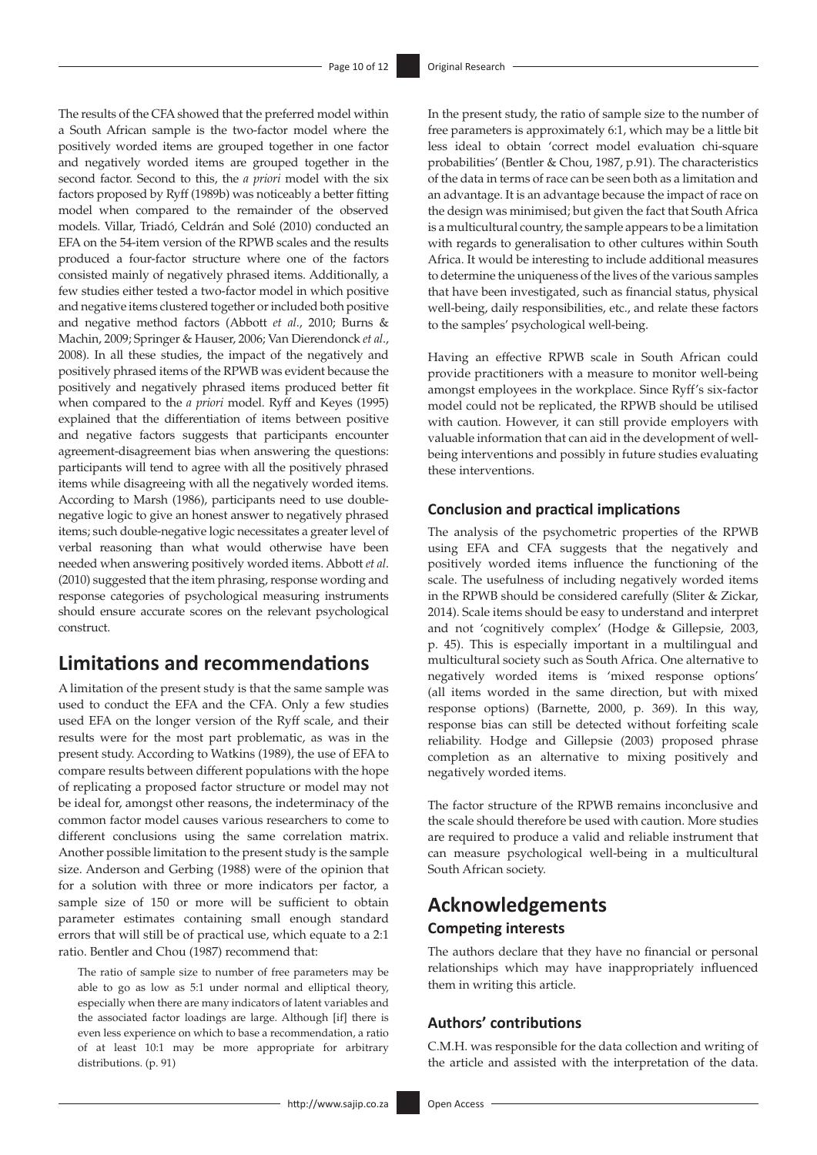The results of the CFA showed that the preferred model within a South African sample is the two-factor model where the positively worded items are grouped together in one factor and negatively worded items are grouped together in the second factor. Second to this, the *a priori* model with the six factors proposed by Ryff (1989b) was noticeably a better fitting model when compared to the remainder of the observed models. Villar, Triadó, Celdrán and Solé (2010) conducted an EFA on the 54-item version of the RPWB scales and the results produced a four-factor structure where one of the factors consisted mainly of negatively phrased items. Additionally, a few studies either tested a two-factor model in which positive and negative items clustered together or included both positive and negative method factors (Abbott *et al*., 2010; Burns & Machin, 2009; Springer & Hauser, 2006; Van Dierendonck *et al*., 2008). In all these studies, the impact of the negatively and positively phrased items of the RPWB was evident because the positively and negatively phrased items produced better fit when compared to the *a priori* model. Ryff and Keyes (1995) explained that the differentiation of items between positive and negative factors suggests that participants encounter agreement-disagreement bias when answering the questions: participants will tend to agree with all the positively phrased items while disagreeing with all the negatively worded items. According to Marsh (1986), participants need to use doublenegative logic to give an honest answer to negatively phrased items; such double-negative logic necessitates a greater level of verbal reasoning than what would otherwise have been needed when answering positively worded items. Abbott *et al*. (2010) suggested that the item phrasing, response wording and response categories of psychological measuring instruments should ensure accurate scores on the relevant psychological construct.

## **Limitations and recommendations**

A limitation of the present study is that the same sample was used to conduct the EFA and the CFA. Only a few studies used EFA on the longer version of the Ryff scale, and their results were for the most part problematic, as was in the present study. According to Watkins (1989), the use of EFA to compare results between different populations with the hope of replicating a proposed factor structure or model may not be ideal for, amongst other reasons, the indeterminacy of the common factor model causes various researchers to come to different conclusions using the same correlation matrix. Another possible limitation to the present study is the sample size. Anderson and Gerbing (1988) were of the opinion that for a solution with three or more indicators per factor, a sample size of 150 or more will be sufficient to obtain parameter estimates containing small enough standard errors that will still be of practical use, which equate to a 2:1 ratio. Bentler and Chou (1987) recommend that:

The ratio of sample size to number of free parameters may be able to go as low as 5:1 under normal and elliptical theory, especially when there are many indicators of latent variables and the associated factor loadings are large. Although [if] there is even less experience on which to base a recommendation, a ratio of at least 10:1 may be more appropriate for arbitrary distributions. (p. 91)

In the present study, the ratio of sample size to the number of free parameters is approximately 6:1, which may be a little bit less ideal to obtain 'correct model evaluation chi-square probabilities' (Bentler & Chou, 1987, p.91). The characteristics of the data in terms of race can be seen both as a limitation and an advantage. It is an advantage because the impact of race on the design was minimised; but given the fact that South Africa is a multicultural country, the sample appears to be a limitation with regards to generalisation to other cultures within South Africa. It would be interesting to include additional measures to determine the uniqueness of the lives of the various samples that have been investigated, such as financial status, physical well-being, daily responsibilities, etc., and relate these factors to the samples' psychological well-being.

Having an effective RPWB scale in South African could provide practitioners with a measure to monitor well-being amongst employees in the workplace. Since Ryff's six-factor model could not be replicated, the RPWB should be utilised with caution. However, it can still provide employers with valuable information that can aid in the development of wellbeing interventions and possibly in future studies evaluating these interventions.

### **Conclusion and practical implications**

The analysis of the psychometric properties of the RPWB using EFA and CFA suggests that the negatively and positively worded items influence the functioning of the scale. The usefulness of including negatively worded items in the RPWB should be considered carefully (Sliter & Zickar, 2014). Scale items should be easy to understand and interpret and not 'cognitively complex' (Hodge & Gillepsie, 2003, p. 45). This is especially important in a multilingual and multicultural society such as South Africa. One alternative to negatively worded items is 'mixed response options' (all items worded in the same direction, but with mixed response options) (Barnette, 2000, p. 369). In this way, response bias can still be detected without forfeiting scale reliability. Hodge and Gillepsie (2003) proposed phrase completion as an alternative to mixing positively and negatively worded items.

The factor structure of the RPWB remains inconclusive and the scale should therefore be used with caution. More studies are required to produce a valid and reliable instrument that can measure psychological well-being in a multicultural South African society.

## **Acknowledgements Competing interests**

The authors declare that they have no financial or personal relationships which may have inappropriately influenced them in writing this article.

### **Authors' contributions**

C.M.H. was responsible for the data collection and writing of the article and assisted with the interpretation of the data.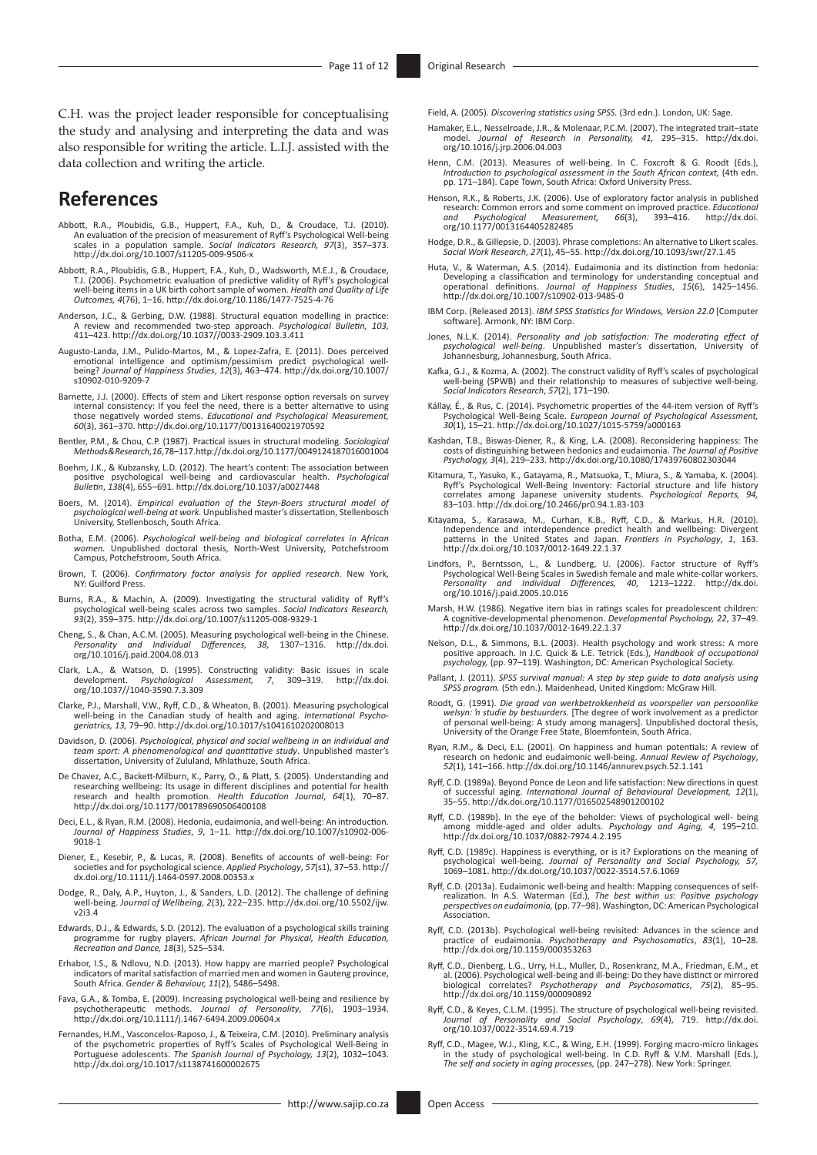C.H. was the project leader responsible for conceptualising the study and analysing and interpreting the data and was also responsible for writing the article. L.I.J. assisted with the data collection and writing the article.

## **References**

- Abbott, R.A., Ploubidis, G.B., Huppert, F.A., Kuh, D., & Croudace, T.J. (2010). An evaluation of the precision of measurement of Ryff's Psychological Well-being scales in a population sample. *Social Indicators Research, 97*(3), 357–373. <http://dx.doi.org/10.1007/s11205-009-9506-x>
- Abbott, R.A., Ploubidis, G.B., Huppert, F.A., Kuh, D., Wadsworth, M.E.J., & Croudace, T.J. (2006). Psychometric evaluation of predictive validity of Ryff's psychological well-being items in a UK birth cohort sample of women. *Health and Quality of Life Outcomes, 4*(76), 1–16.<http://dx.doi.org/10.1186/1477-7525-4-76>
- Anderson, J.C., & Gerbing, D.W. (1988). Structural equation modelling in practice: A review and recommended two-step approach. *Psychological Bulletin, 103,* 411–423. <http://dx.doi.org/10.1037//0033-2909.103.3.411>
- Augusto-Landa, J.M., Pulido-Martos, M., & Lopez-Zafra, E. (2011). Does perceived emotional intelligence and optimism/pessimism predict psychological well-being? *Journal of Happiness Studies*, *12*(3), 463–474. [http://dx.doi.org/10.1007/](http://dx.doi.org/10.1007/s10902-010-9209-7) [s10902-010-9209-7](http://dx.doi.org/10.1007/s10902-010-9209-7)
- Barnette, J.J. (2000). Effects of stem and Likert response option reversals on survey internal consistency: If you feel the need, there is a better alternative to using those negatively worded stems. *Educational and Psychological Measurement, 60*(3), 361–370.<http://dx.doi.org/10.1177/00131640021970592>
- Bentler, P.M., & Chou, C.P. (1987). Practical issues in structural modeling. *Sociological Methods & Research*, *16*, 78–117.<http://dx.doi.org/10.1177/0049124187016001004>
- Boehm, J.K., & Kubzansky, L.D. (2012). The heart's content: The association between positive psychological well-being and cardiovascular health. *Psychological Bulletin*, *138*(4), 655–691.<http://dx.doi.org/10.1037/a0027448>
- Boers, M. (2014). *Empirical evaluation of the Steyn-Boers structural model of psychological well-being at work.* Unpublished master's dissertation, Stellenbosch University, Stellenbosch, South Africa.
- Botha, E.M. (2006). *Psychological well-being and biological correlates in African women.* Unpublished doctoral thesis, North-West University, Potchefstroom Campus, Potchefstroom, South Africa.
- Brown, T. (2006). *Confirmatory factor analysis for applied research*. New York, NY: Guilford Press.
- Burns, R.A., & Machin, A. (2009). Investigating the structural validity of Ryff's psychological well-being scales across two samples. *Social Indicators Research, 93*(2), 359–375.<http://dx.doi.org/10.1007/s11205-008-9329-1>
- Cheng, S., & Chan, A.C.M. (2005). Measuring psychological well-being in the Chinese.<br> *Personality and Individual Differences* 38 1307–1316 http://dx.doi *Personality and Individual Differences, 38,* 1307–1316. [http://dx.doi.](http://dx.doi.org/10.1016/j.paid.2004.08.013) [org/10.1016/j.paid.2004.08.013](http://dx.doi.org/10.1016/j.paid.2004.08.013)
- Clark, L.A., & Watson, D. (1995). Constructing validity: Basic issues in scale development. *Psychological Assessment, 7*, 309–319. [http://dx.doi.](http://dx.doi.org/10.1037//1040-3590.7.3.309) development. *Psychological*<br>[org/10.1037//1040-3590.7.3.309](http://dx.doi.org/10.1037//1040-3590.7.3.309)
- Clarke, P.J., Marshall, V.W., Ryff, C.D., & Wheaton, B. (2001). Measuring psychological well-being in the Canadian study of health and aging. *International Psycho-geriatrics, 13,* 79–90.<http://dx.doi.org/10.1017/s1041610202008013>
- Davidson, D. (2006). *Psychological, physical and social wellbeing in an individual and team sport: A phenomenological and quantitative study*. Unpublished master's dissertation, University of Zululand, Mhlathuze, South Africa.
- De Chavez, A.C., Backett-Milburn, K., Parry, O., & Platt, S. (2005). Understanding and researching wellbeing: Its usage in different disciplines and potential for health research and health promotion. *Health Education Journal*, *64*(1), 70–87. <http://dx.doi.org/10.1177/001789690506400108>
- Deci, E.L., & Ryan, R.M. (2008). Hedonia, eudaimonia, and well-being: An introduction. *Journal of Happiness Studies*, *9*, 1–11. [http://dx.doi.org/10.1007/s10902-006-](http://dx.doi.org/10.1007/s10902-006-9018-1) [9018-1](http://dx.doi.org/10.1007/s10902-006-9018-1)
- Diener, E., Kesebir, P., & Lucas, R. (2008). Benefits of accounts of well‐being: For societies and for psychological science. *Applied Psychology*, *57*(s1), 37–53. [http://](http://dx.doi.org/10.1111/j.1464-0597.2008.00353.x) [dx.doi.org/10.1111/j.1464-0597.2008.00353.x](http://dx.doi.org/10.1111/j.1464-0597.2008.00353.x)
- Dodge, R., Daly, A.P., Huyton, J., & Sanders, L.D. (2012). The challenge of defining well-being. *Journal of Wellbeing, 2*(3), 222–235. [http://dx.doi.org/10.5502/ijw.](http://dx.doi.org/10.5502/ijw.v2i3.4) [v2i3.4](http://dx.doi.org/10.5502/ijw.v2i3.4)
- Edwards, D.J., & Edwards, S.D. (2012). The evaluation of a psychological skills training programme for rugby players. *African Journal for Physical, Health Education, Recreation and Dance, 18*(3), 525–534.
- Erhabor, I.S., & Ndlovu, N.D. (2013). How happy are married people? Psychological indicators of marital satisfaction of married men and women in Gauteng province, South Africa. *Gender & Behaviour, 11*(2), 5486–5498.
- Fava, G.A., & Tomba, E. (2009). Increasing psychological well-being and resilience by psychotherapeutic methods. *Journal of Personality*, 77(6), 1903–1934. <http://dx.doi.org/10.1111/j.1467-6494.2009.00604.x>
- Fernandes, H.M., Vasconcelos-Raposo, J., & Teixeira, C.M. (2010). Preliminary analysis<br>of the psychometric properties of Ryff's Scales of Psychological Well-Being in<br>Portuguese adolescents. The Spanish Journal of Psycholog <http://dx.doi.org/10.1017/s1138741600002675>

Field, A. (2005). *Discovering statistics using SPSS.* (3rd edn.). London, UK: Sage.

- Hamaker, E.L., Nesselroade, J.R., & Molenaar, P.C.M. (2007). The integrated trait–state model. *Journal of Research in Personality, 41,* 295–315. [http://dx.doi.](http://dx.doi.org/10.1016/j.jrp.2006.04.003) [org/10.1016/j.jrp.2006.04.003](http://dx.doi.org/10.1016/j.jrp.2006.04.003)
- Henn, C.M. (2013). Measures of well-being. In C. Foxcroft & G. Roodt (Eds.), *Introduction to psychological assessment in the South African context,* (4th edn. pp. 171–184). Cape Town, South Africa: Oxford University Press.
- Henson, R.K., & Roberts, J.K. (2006). Use of exploratory factor analysis in published research: Common errors and some comment on improved practice. *Educational and Psychological Measurement, 66*(3), 393–416. [http://dx.doi.](http://dx.doi.org/10.1177/0013164405282485) [org/10.1177/0013164405282485](http://dx.doi.org/10.1177/0013164405282485)
- Hodge, D.R., & Gillepsie, D. (2003). Phrase completions: An alternative to Likert scales. *Social Work Research, 27*(1), 45–55.<http://dx.doi.org/10.1093/swr/27.1.45>
- Huta, V., & Waterman, A.S. (2014). Eudaimonia and its distinction from hedonia:<br>Developing a classification and terminology for understanding conceptual and<br>operational definitions. Journal of Happiness Studies, 15(6), 142
- IBM Corp. (Released 2013). *IBM SPSS Statistics for Windows, Version 22.0* [Computer software]. Armonk, NY: IBM Corp.
- Jones, N.L.K. (2014). *Personality and job satisfaction: The moderating effect of psychological well-being*. Unpublished master's dissertation, University of Johannesburg, Johannesburg, South Africa.
- Kafka, G.J., & Kozma, A. (2002). The construct validity of Ryff's scales of psychological well-being (SPWB) and their relationship to measures of subjective well-being. *Social Indicators Research*, *57*(2), 171–190.
- Kállay, É., & Rus, C. (2014). Psychometric properties of the 44-item version of Ryff's Psychological Well-Being Scale. *European Journal of Psychological Assessment, 30*(1), 15–21.<http://dx.doi.org/10.1027/1015-5759/a000163>
- Kashdan, T.B., Biswas-Diener, R., & King, L.A. (2008). Reconsidering happiness: The<br>costs of distinguishing between hedonics and eudainonia. The Journal of Positive<br>Psychology, 3(4), 219–233. http://dx.doi.org/10.1080/1743
- Kitamura, T., Yasuko, K., Gatayama, R., Matsuoka, T., Miura, S., & Yamaba, K. (2004).<br>Ryff's Psychological Well-Being Inventory: Factorial structure and life history<br>correlates among Japanese university students. *Psycholo*
- Kitayama, S., Karasawa, M., Curhan, K.B., Ryff, C.D., & Markus, H.R. (2010).<br>Independence and interdependence predict health and wellbeing: Divergent<br>patterns in the United States and Japan. *Frontiers in Psychology*, 1, 1 <http://dx.doi.org/10.1037/0012-1649.22.1.37>
- Lindfors, P., Berntsson, L., & Lundberg, U. (2006). Factor structure of Ryff's<br>Psychological Well-Being Scales in Swedish female and male white-collar workers.<br>Personality and Individual Differences, 40, 1213-1222. http:// [org/10.1016/j.paid.2005.10.016](http://dx.doi.org/10.1016/j.paid.2005.10.016)
- Marsh, H.W. (1986). Negative item bias in ratings scales for preadolescent children: A cognitive-developmental phenomenon. *Developmental Psychology, 22*, 37–49. <http://dx.doi.org/10.1037/0012-1649.22.1.37>
- Nelson, D.L., & Simmons, B.L. (2003). Health psychology and work stress: A more<br>positive approach. In J.C. Quick & L.E. Tetrick (Eds.), Handbook of occupational<br>psychology, (pp. 97–119). Washington, DC: American Psychologi
- Pallant, J. (2011). *SPSS survival manual: A step by step guide to data analysis using SPSS program.* (5th edn.). Maidenhead, United Kingdom: McGraw Hill.
- Roodt, G. (1991). *Die graad van werkbetrokkenheid as voorspeller van persoonlike welsyn: 'n studie by bestuurders.* [The degree of work involvement as a predictor of personal well-being: A study among managers]. Unpublished doctoral thesis, University of the Orange Free State, Bloemfontein, South Africa.
- Ryan, R.M., & Deci, E.L. (2001). On happiness and human potentials: A review of research on hedonic and eudaimonic well-being. *Annual Review of Psychology*, *52*(1), 141–166.<http://dx.doi.org/10.1146/annurev.psych.52.1.141>
- Ryff, C.D. (1989a). Beyond Ponce de Leon and life satisfaction: New directions in quest of successful aging. *International Journal of Behavioural Development, 12*(1), 35–55.<http://dx.doi.org/10.1177/016502548901200102>
- Ryff, C.D. (1989b). In the eye of the beholder: Views of psychological well- being among middle-aged and older adults. *Psychology and Aging, 4,* 195–210. <http://dx.doi.org/10.1037/0882-7974.4.2.195>
- Ryff, C.D. (1989c). Happiness is everything, or is it? Explorations on the meaning of psychological well-being. Journal of Personality and Social Psychology, 57, 1069–1081.<http://dx.doi.org/10.1037/0022-3514.57.6.1069>
- Ryff, C.D. (2013a). Eudaimonic well-being and health: Mapping consequences of self-realization. In A.S. Waterman (Ed.), *The best within us: Positive psychology perspectives on eudaimonia,* (pp. 77–98). Washington, DC: American Psychological Association.
- Ryff, C.D. (2013b). Psychological well-being revisited: Advances in the science and practice of eudaimonia. *Psychotherapy and Psychosomatics*, *83*(1), 10–28. <http://dx.doi.org/10.1159/000353263>
- Ryff, C.D., Dienberg, L.G., Urry, H.L., Muller, D., Rosenkranz, M.A., Friedman, E.M., et<br>al. (2006). Psychological well-being and ill-being: Do they have distinct or mirrored<br>biological correlates? Psychotherapy and Psycho <http://dx.doi.org/10.1159/000090892>
- Ryff, C.D., & Keyes, C.L.M. (1995). The structure of psychological well-being revisited. *Journal of Personality and Social Psychology*, *69*(4), 719. [http://dx.doi.](http://dx.doi.org/10.1037/0022-3514.69.4.719) [org/10.1037/0022-3514.69.4.719](http://dx.doi.org/10.1037/0022-3514.69.4.719)
- Ryff, C.D., Magee, W.J., Kling, K.C., & Wing, E.H. (1999). Forging macro-micro linkages<br>in the study of psychological well-being. In C.D. Ryff & V.M. Marshall (Eds.),<br>The self and society in aging processes, (pp. 247–278).